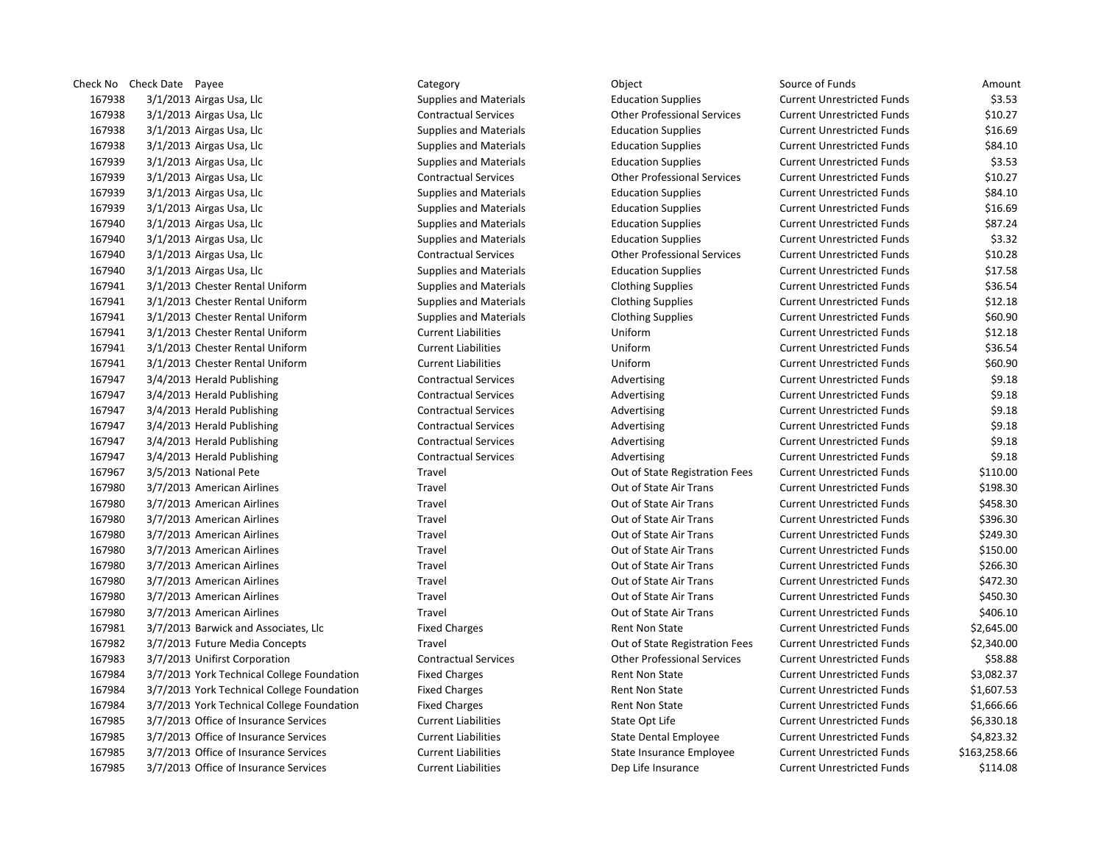|        | Check No Check Date Payee                  | Category                      | Object                             | Source of Funds                   | Amount       |
|--------|--------------------------------------------|-------------------------------|------------------------------------|-----------------------------------|--------------|
| 167938 | $3/1/2013$ Airgas Usa, Llc                 | <b>Supplies and Materials</b> | <b>Education Supplies</b>          | <b>Current Unrestricted Funds</b> | \$3.53       |
| 167938 | 3/1/2013 Airgas Usa, Llc                   | <b>Contractual Services</b>   | <b>Other Professional Services</b> | <b>Current Unrestricted Funds</b> | \$10.27      |
| 167938 | 3/1/2013 Airgas Usa, Llc                   | <b>Supplies and Materials</b> | <b>Education Supplies</b>          | <b>Current Unrestricted Funds</b> | \$16.69      |
| 167938 | $3/1/2013$ Airgas Usa, Llc                 | <b>Supplies and Materials</b> | <b>Education Supplies</b>          | <b>Current Unrestricted Funds</b> | \$84.10      |
| 167939 | 3/1/2013 Airgas Usa, Llc                   | <b>Supplies and Materials</b> | <b>Education Supplies</b>          | <b>Current Unrestricted Funds</b> | \$3.53       |
| 167939 | 3/1/2013 Airgas Usa, Llc                   | <b>Contractual Services</b>   | <b>Other Professional Services</b> | <b>Current Unrestricted Funds</b> | \$10.27      |
| 167939 | $3/1/2013$ Airgas Usa, Llc                 | <b>Supplies and Materials</b> | <b>Education Supplies</b>          | <b>Current Unrestricted Funds</b> | \$84.10      |
| 167939 | 3/1/2013 Airgas Usa, Llc                   | <b>Supplies and Materials</b> | <b>Education Supplies</b>          | <b>Current Unrestricted Funds</b> | \$16.69      |
| 167940 | 3/1/2013 Airgas Usa, Llc                   | <b>Supplies and Materials</b> | <b>Education Supplies</b>          | <b>Current Unrestricted Funds</b> | \$87.24      |
| 167940 | 3/1/2013 Airgas Usa, Llc                   | <b>Supplies and Materials</b> | <b>Education Supplies</b>          | <b>Current Unrestricted Funds</b> | \$3.32       |
| 167940 | 3/1/2013 Airgas Usa, Llc                   | <b>Contractual Services</b>   | <b>Other Professional Services</b> | <b>Current Unrestricted Funds</b> | \$10.28      |
| 167940 | $3/1/2013$ Airgas Usa, Llc                 | <b>Supplies and Materials</b> | <b>Education Supplies</b>          | <b>Current Unrestricted Funds</b> | \$17.58      |
| 167941 | 3/1/2013 Chester Rental Uniform            | <b>Supplies and Materials</b> | <b>Clothing Supplies</b>           | <b>Current Unrestricted Funds</b> | \$36.54      |
| 167941 | 3/1/2013 Chester Rental Uniform            | <b>Supplies and Materials</b> | <b>Clothing Supplies</b>           | <b>Current Unrestricted Funds</b> | \$12.18      |
| 167941 | 3/1/2013 Chester Rental Uniform            | <b>Supplies and Materials</b> | <b>Clothing Supplies</b>           | <b>Current Unrestricted Funds</b> | \$60.90      |
| 167941 | 3/1/2013 Chester Rental Uniform            | <b>Current Liabilities</b>    | Uniform                            | <b>Current Unrestricted Funds</b> | \$12.18      |
| 167941 | 3/1/2013 Chester Rental Uniform            | <b>Current Liabilities</b>    | Uniform                            | <b>Current Unrestricted Funds</b> | \$36.54      |
| 167941 | 3/1/2013 Chester Rental Uniform            | <b>Current Liabilities</b>    | Uniform                            | <b>Current Unrestricted Funds</b> | \$60.90      |
| 167947 | 3/4/2013 Herald Publishing                 | <b>Contractual Services</b>   | Advertising                        | <b>Current Unrestricted Funds</b> | \$9.18       |
| 167947 | 3/4/2013 Herald Publishing                 | <b>Contractual Services</b>   | Advertising                        | <b>Current Unrestricted Funds</b> | \$9.18       |
| 167947 | 3/4/2013 Herald Publishing                 | <b>Contractual Services</b>   | Advertising                        | <b>Current Unrestricted Funds</b> | \$9.18       |
| 167947 | 3/4/2013 Herald Publishing                 | <b>Contractual Services</b>   | Advertising                        | <b>Current Unrestricted Funds</b> | \$9.18       |
| 167947 | 3/4/2013 Herald Publishing                 | <b>Contractual Services</b>   | Advertising                        | <b>Current Unrestricted Funds</b> | \$9.18       |
| 167947 | 3/4/2013 Herald Publishing                 | <b>Contractual Services</b>   | Advertising                        | <b>Current Unrestricted Funds</b> | \$9.18       |
| 167967 | 3/5/2013 National Pete                     | Travel                        | Out of State Registration Fees     | <b>Current Unrestricted Funds</b> | \$110.00     |
| 167980 | 3/7/2013 American Airlines                 | Travel                        | Out of State Air Trans             | <b>Current Unrestricted Funds</b> | \$198.30     |
| 167980 | 3/7/2013 American Airlines                 | Travel                        | Out of State Air Trans             | <b>Current Unrestricted Funds</b> | \$458.30     |
| 167980 | 3/7/2013 American Airlines                 | Travel                        | Out of State Air Trans             | <b>Current Unrestricted Funds</b> | \$396.30     |
| 167980 | 3/7/2013 American Airlines                 | Travel                        | Out of State Air Trans             | <b>Current Unrestricted Funds</b> | \$249.30     |
| 167980 | 3/7/2013 American Airlines                 | Travel                        | Out of State Air Trans             | <b>Current Unrestricted Funds</b> | \$150.00     |
| 167980 | 3/7/2013 American Airlines                 | Travel                        | Out of State Air Trans             | <b>Current Unrestricted Funds</b> | \$266.30     |
| 167980 | 3/7/2013 American Airlines                 | Travel                        | Out of State Air Trans             | <b>Current Unrestricted Funds</b> | \$472.30     |
| 167980 | 3/7/2013 American Airlines                 | Travel                        | Out of State Air Trans             | <b>Current Unrestricted Funds</b> | \$450.30     |
| 167980 | 3/7/2013 American Airlines                 | Travel                        | Out of State Air Trans             | <b>Current Unrestricted Funds</b> | \$406.10     |
| 167981 | 3/7/2013 Barwick and Associates, Llc       | <b>Fixed Charges</b>          | Rent Non State                     | <b>Current Unrestricted Funds</b> | \$2,645.00   |
| 167982 | 3/7/2013 Future Media Concepts             | Travel                        | Out of State Registration Fees     | <b>Current Unrestricted Funds</b> | \$2,340.00   |
| 167983 | 3/7/2013 Unifirst Corporation              | <b>Contractual Services</b>   | <b>Other Professional Services</b> | <b>Current Unrestricted Funds</b> | \$58.88      |
| 167984 | 3/7/2013 York Technical College Foundation | <b>Fixed Charges</b>          | Rent Non State                     | <b>Current Unrestricted Funds</b> | \$3,082.37   |
| 167984 | 3/7/2013 York Technical College Foundation | <b>Fixed Charges</b>          | Rent Non State                     | <b>Current Unrestricted Funds</b> | \$1,607.53   |
| 167984 | 3/7/2013 York Technical College Foundation | <b>Fixed Charges</b>          | <b>Rent Non State</b>              | <b>Current Unrestricted Funds</b> | \$1,666.66   |
| 167985 | 3/7/2013 Office of Insurance Services      | <b>Current Liabilities</b>    | State Opt Life                     | <b>Current Unrestricted Funds</b> | \$6,330.18   |
| 167985 | 3/7/2013 Office of Insurance Services      | <b>Current Liabilities</b>    | <b>State Dental Employee</b>       | <b>Current Unrestricted Funds</b> | \$4,823.32   |
| 167985 | 3/7/2013 Office of Insurance Services      | <b>Current Liabilities</b>    | State Insurance Employee           | <b>Current Unrestricted Funds</b> | \$163,258.66 |
| 167985 | 3/7/2013 Office of Insurance Services      | <b>Current Liabilities</b>    | Dep Life Insurance                 | <b>Current Unrestricted Funds</b> | \$114.08     |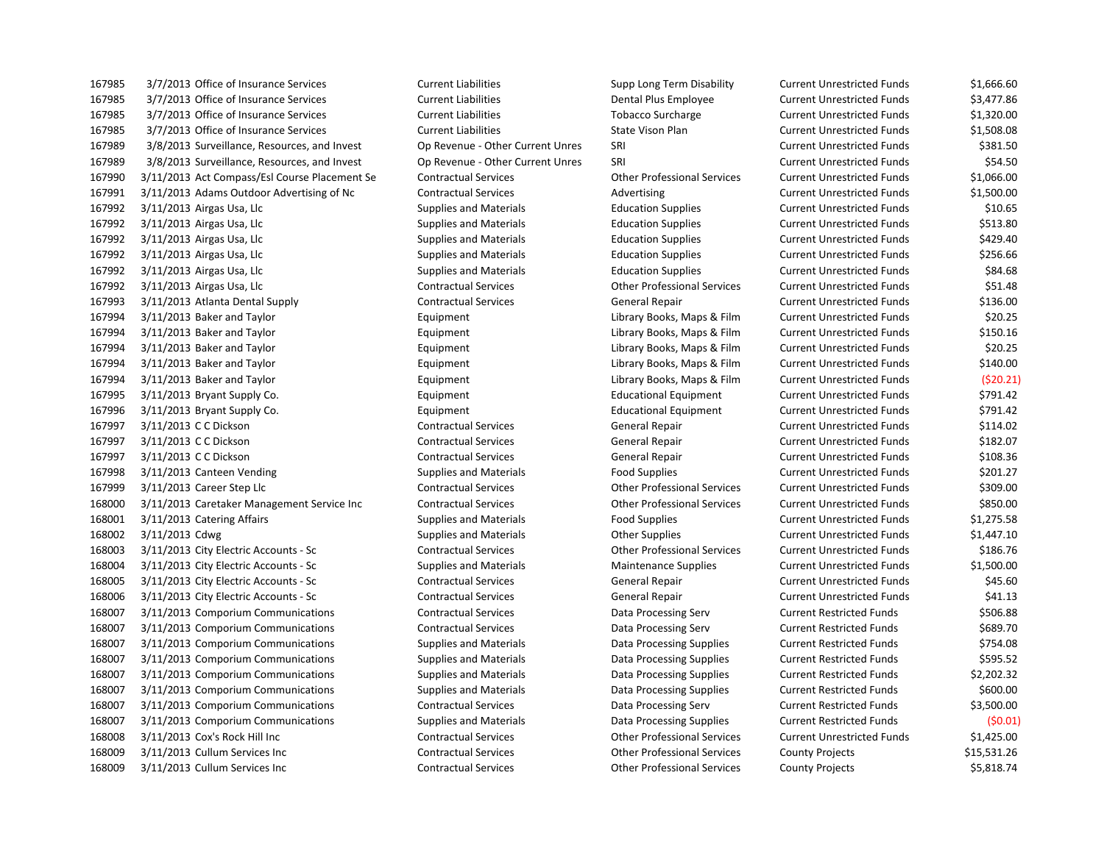3/7/2013 Office of Insurance Services Current Liabilities Supp Long Term Disability Current Unrestricted Funds \$1,666.60 3/7/2013 Office of Insurance Services Current Liabilities Dental Plus Employee Current Unrestricted Funds \$3,477.86 3/7/2013 Office of Insurance Services Current Liabilities Tobacco Surcharge Current Unrestricted Funds \$1,320.00 3/7/2013 Office of Insurance Services Current Liabilities State Vison Plan Current Unrestricted Funds \$1,508.08 3/8/2013 Surveillance, Resources, and Invest Op Revenue - Other Current Unres SRI Current Unrestricted Funds \$381.50 3/8/2013 Surveillance, Resources, and Invest Op Revenue - Other Current Unres SRI Current Unrestricted Funds \$54.50 3/11/2013 Act Compass/Esl Course Placement Se Contractual Services Other Professional Services Current Unrestricted Funds \$1,066.00 3/11/2013 Adams Outdoor Advertising of Nc Contractual Services Advertising Current Unrestricted Funds \$1,500.00 3/11/2013 Airgas Usa, Llc Supplies and Materials Education Supplies Current Unrestricted Funds \$10.65 3/11/2013 Airgas Usa, Llc Supplies and Materials Education Supplies Current Unrestricted Funds \$513.80 3/11/2013 Airgas Usa, Llc Supplies and Materials Education Supplies Current Unrestricted Funds \$429.40 3/11/2013 Airgas Usa, Llc Supplies and Materials Education Supplies Current Unrestricted Funds \$256.66 3/11/2013 Airgas Usa, Llc Supplies and Materials Education Supplies Current Unrestricted Funds \$84.68 3/11/2013 Airgas Usa, Llc Contractual Services Other Professional Services Current Unrestricted Funds \$51.48 3/11/2013 Atlanta Dental Supply Contractual Services General Repair Current Unrestricted Funds \$136.00 3/11/2013 Baker and Taylor Equipment Library Books, Maps & Film Current Unrestricted Funds \$20.25 167994 3/11/2013 Baker and Taylor Carries Counter Equipment Library Books, Maps & Film Current Unrestricted Funds \$150.16 3/11/2013 Baker and Taylor Equipment Library Books, Maps & Film Current Unrestricted Funds \$20.25 167994 3/11/2013 Baker and Taylor Carries Communication Equipment Library Books, Maps & Film Current Unrestricted Funds \$140.00 3/11/2013 Baker and Taylor Equipment Library Books, Maps & Film Current Unrestricted Funds (\$20.21) 3/11/2013 Bryant Supply Co. Equipment Educational Equipment Current Unrestricted Funds \$791.42 3/11/2013 Bryant Supply Co. Equipment Educational Equipment Current Unrestricted Funds \$791.42 3/11/2013 C C Dickson Contractual Services General Repair Current Unrestricted Funds \$114.02 3/11/2013 C C Dickson Contractual Services General Repair Current Unrestricted Funds \$182.07 167997 3/11/2013 C C Dickson Contractual Services Contractual Services General Repair Current Unrestricted Funds \$108.36 3/11/2013 Canteen Vending Supplies and Materials Food Supplies Current Unrestricted Funds \$201.27 3/11/2013 Career Step Llc Contractual Services Other Professional Services Current Unrestricted Funds \$309.00 3/11/2013 Caretaker Management Service Inc Contractual Services Other Professional Services Current Unrestricted Funds \$850.00 3/11/2013 Catering Affairs Supplies and Materials Food Supplies Current Unrestricted Funds \$1,275.58 168002 3/11/2013 Cdwg S1,447.10 3/11/2013 City Electric Accounts - Sc Contractual Services Other Professional Services Current Unrestricted Funds \$186.76 3/11/2013 City Electric Accounts - Sc Supplies and Materials Maintenance Supplies Current Unrestricted Funds \$1,500.00 3/11/2013 City Electric Accounts - Sc Contractual Services General Repair Current Unrestricted Funds \$45.60 3/11/2013 City Electric Accounts - Sc Contractual Services General Repair Current Unrestricted Funds \$41.13 3/11/2013 Comporium Communications Contractual Services Data Processing Serv Current Restricted Funds \$506.88 3/11/2013 Comporium Communications Contractual Services Data Processing Serv Current Restricted Funds \$689.70 3/11/2013 Comporium Communications Supplies and Materials Data Processing Supplies Current Restricted Funds \$754.08 3/11/2013 Comporium Communications Supplies and Materials Data Processing Supplies Current Restricted Funds \$595.52 3/11/2013 Comporium Communications Supplies and Materials Data Processing Supplies Current Restricted Funds \$2,202.32 3/11/2013 Comporium Communications Supplies and Materials Data Processing Supplies Current Restricted Funds \$600.00 3/11/2013 Comporium Communications Contractual Services Data Processing Serv Current Restricted Funds \$3,500.00 3/11/2013 Comporium Communications Supplies and Materials Data Processing Supplies Current Restricted Funds (\$0.01) 3/11/2013 Cox's Rock Hill Inc Contractual Services Other Professional Services Current Unrestricted Funds \$1,425.00 3/11/2013 Cullum Services Inc Contractual Services Other Professional Services County Projects \$15,531.26 3/11/2013 Cullum Services Inc Contractual Services Other Professional Services County Projects \$5,818.74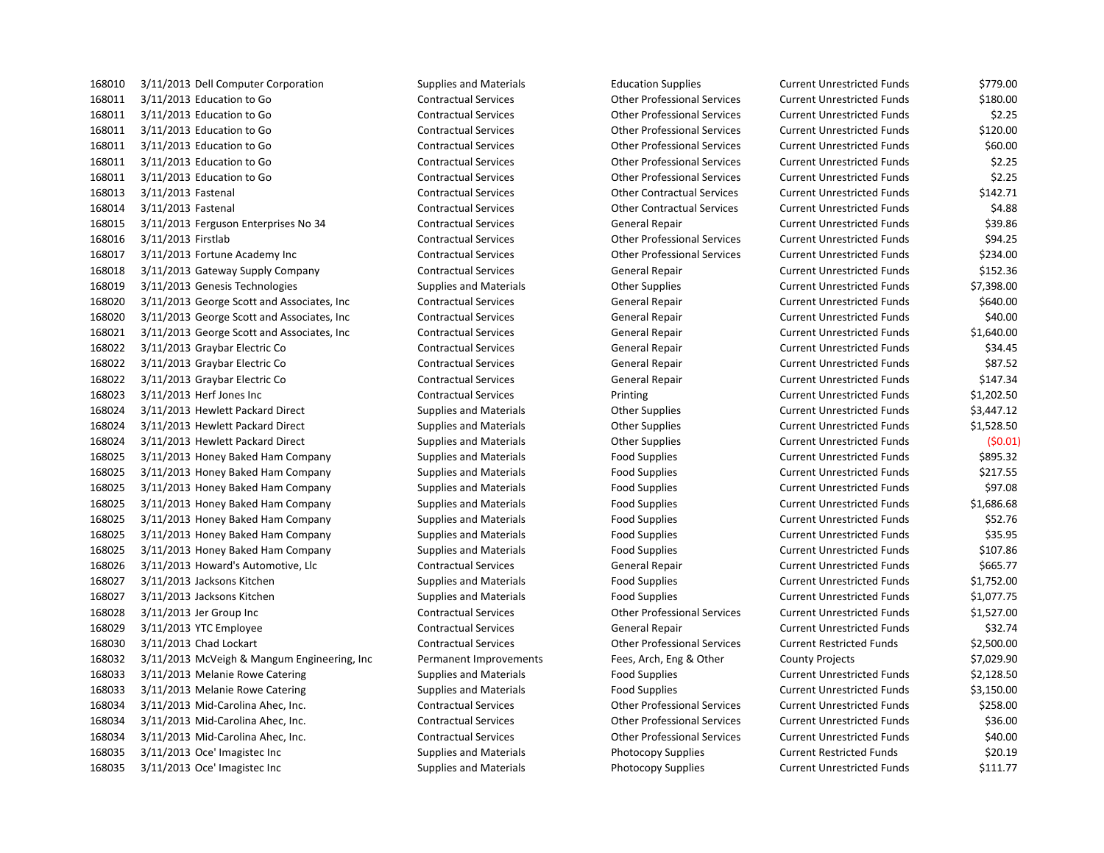3/11/2013 Education to Go Contractual Services Other Professional Services Current Unrestricted Funds \$180.00 3/11/2013 Education to Go Contractual Services Other Professional Services Current Unrestricted Funds \$2.25 3/11/2013 Education to Go Contractual Services Other Professional Services Current Unrestricted Funds \$120.00 3/11/2013 Education to Go Contractual Services Other Professional Services Current Unrestricted Funds \$60.00 3/11/2013 Education to Go Contractual Services Other Professional Services Current Unrestricted Funds \$2.25 3/11/2013 Education to Go Contractual Services Other Professional Services Current Unrestricted Funds \$2.25 3/11/2013 Fastenal Contractual Services Other Contractual Services Current Unrestricted Funds \$142.71 3/11/2013 Fastenal Contractual Services Other Contractual Services Current Unrestricted Funds \$4.88 3/11/2013 Ferguson Enterprises No 34 Contractual Services General Repair Current Unrestricted Funds \$39.86 3/11/2013 Firstlab Contractual Services Other Professional Services Current Unrestricted Funds \$94.25 3/11/2013 Fortune Academy Inc Contractual Services Other Professional Services Current Unrestricted Funds \$234.00 3/11/2013 Gateway Supply Company Contractual Services General Repair Current Unrestricted Funds \$152.36 3/11/2013 Genesis Technologies Supplies and Materials Other Supplies Current Unrestricted Funds \$7,398.00 3/11/2013 George Scott and Associates, Inc Contractual Services General Repair Current Unrestricted Funds \$640.00 3/11/2013 George Scott and Associates, Inc Contractual Services General Repair Current Unrestricted Funds \$40.00 3/11/2013 George Scott and Associates, Inc Contractual Services General Repair Current Unrestricted Funds \$1,640.00 3/11/2013 Graybar Electric Co Contractual Services General Repair Current Unrestricted Funds \$34.45 3/11/2013 Graybar Electric Co Contractual Services General Repair Current Unrestricted Funds \$87.52 3/11/2013 Graybar Electric Co Contractual Services General Repair Current Unrestricted Funds \$147.34 3/11/2013 Herf Jones Inc Contractual Services Printing Current Unrestricted Funds \$1,202.50 3/11/2013 Hewlett Packard Direct Supplies and Materials Other Supplies Current Unrestricted Funds \$3,447.12 3/11/2013 Hewlett Packard Direct Supplies and Materials Other Supplies Current Unrestricted Funds \$1,528.50 3/11/2013 Hewlett Packard Direct Supplies and Materials Other Supplies Current Unrestricted Funds (\$0.01) 3/11/2013 Honey Baked Ham Company Supplies and Materials Food Supplies Current Unrestricted Funds \$895.32 3/11/2013 Honey Baked Ham Company Supplies and Materials Food Supplies Current Unrestricted Funds \$217.55 3/11/2013 Honey Baked Ham Company Supplies and Materials Food Supplies Current Unrestricted Funds \$97.08 3/11/2013 Honey Baked Ham Company Supplies and Materials Food Supplies Current Unrestricted Funds \$1,686.68 3/11/2013 Honey Baked Ham Company Supplies and Materials Food Supplies Current Unrestricted Funds \$52.76 3/11/2013 Honey Baked Ham Company Supplies and Materials Food Supplies Current Unrestricted Funds \$35.95 3/11/2013 Honey Baked Ham Company Supplies and Materials Food Supplies Current Unrestricted Funds \$107.86 3/11/2013 Howard's Automotive, Llc Contractual Services General Repair Current Unrestricted Funds \$665.77 3/11/2013 Jacksons Kitchen Supplies and Materials Food Supplies Current Unrestricted Funds \$1,752.00 3/11/2013 Jacksons Kitchen Supplies and Materials Food Supplies Current Unrestricted Funds \$1,077.75 3/11/2013 Jer Group Inc Contractual Services Other Professional Services Current Unrestricted Funds \$1,527.00 3/11/2013 YTC Employee Contractual Services General Repair Current Unrestricted Funds \$32.74 3/11/2013 Chad Lockart Contractual Services Other Professional Services Current Restricted Funds \$2,500.00 3/11/2013 McVeigh & Mangum Engineering, Inc Permanent Improvements Fees, Arch, Eng & Other County Projects \$7,029.90 168033 3/11/2013 Melanie Rowe Catering Supplies and Materials Food Supplies Food Supplies Current Unrestricted Funds \$2,128.50 3/11/2013 Melanie Rowe Catering Supplies and Materials Food Supplies Current Unrestricted Funds \$3,150.00 3/11/2013 Mid-Carolina Ahec, Inc. Contractual Services Other Professional Services Current Unrestricted Funds \$258.00 3/11/2013 Mid-Carolina Ahec, Inc. Contractual Services Other Professional Services Current Unrestricted Funds \$36.00 3/11/2013 Mid-Carolina Ahec, Inc. Contractual Services Other Professional Services Current Unrestricted Funds \$40.00 3/11/2013 Oce' Imagistec Inc Supplies and Materials Photocopy Supplies Current Restricted Funds \$20.19

 3/11/2013 Dell Computer Corporation Supplies and Materials Education Supplies Current Unrestricted Funds \$779.00 3/11/2013 Oce' Imagistec Inc Supplies and Materials Photocopy Supplies Current Unrestricted Funds \$111.77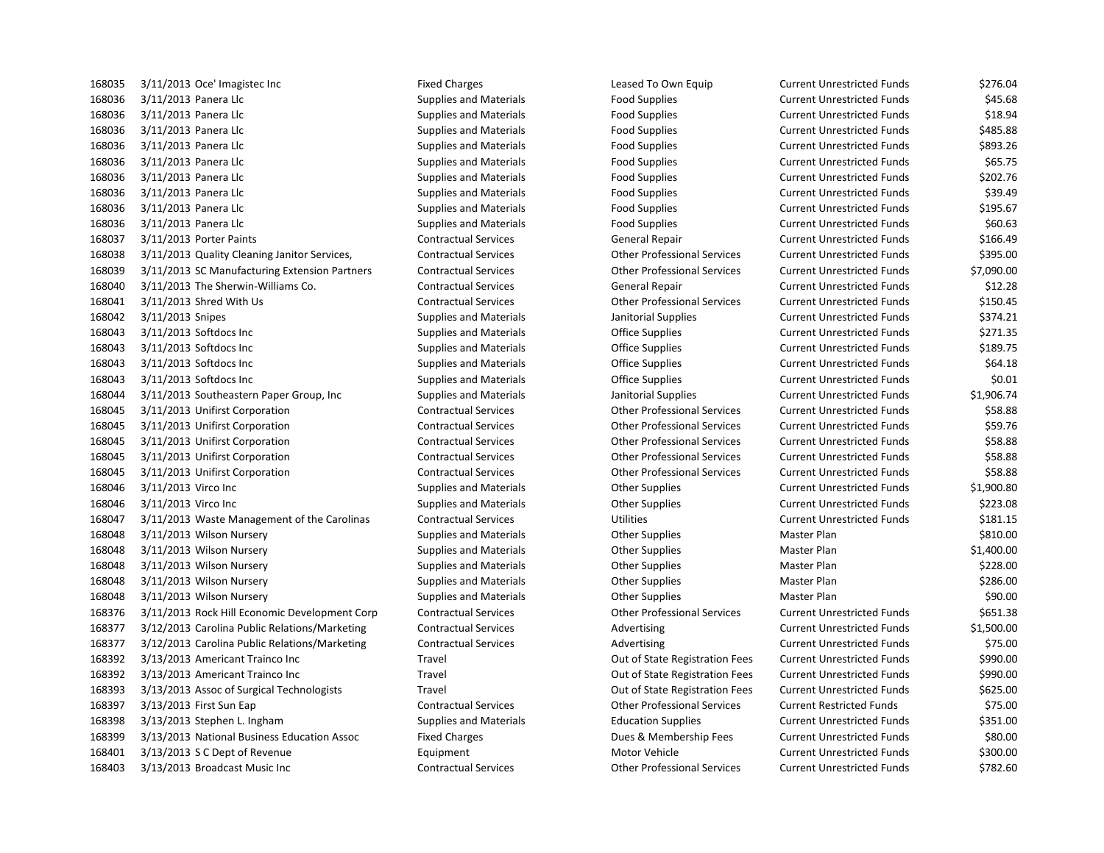3/11/2013 Oce' Imagistec Inc Fixed Charges Leased To Own Equip Current Unrestricted Funds \$276.04 3/11/2013 Panera Llc Supplies and Materials Food Supplies Current Unrestricted Funds \$45.68 168036 3/11/2013 Panera Llc Supplies and Materials Food Supplies Food Supplies Current Unrestricted Funds \$18.94 168036 3/11/2013 Panera Llc Supplies and Materials Food Supplies Food Supplies Current Unrestricted Funds \$485.88 168036 3/11/2013 Panera Llc Supplies and Materials Food Supplies Food Supplies Current Unrestricted Funds \$893.26 3/11/2013 Panera Llc Supplies and Materials Food Supplies Current Unrestricted Funds \$65.75 3/11/2013 Panera Llc Supplies and Materials Food Supplies Current Unrestricted Funds \$202.76 3/11/2013 Panera Llc Supplies and Materials Food Supplies Current Unrestricted Funds \$39.49 168036 3/11/2013 Panera Llc Supplies and Materials Food Supplies Food Supplies Current Unrestricted Funds \$195.67 168036 3/11/2013 Panera Llc Supplies and Materials Food Supplies Food Supplies Current Unrestricted Funds \$60.63 3/11/2013 Porter Paints Contractual Services General Repair Current Unrestricted Funds \$166.49 3/11/2013 Quality Cleaning Janitor Services, Contractual Services Other Professional Services Current Unrestricted Funds \$395.00 3/11/2013 SC Manufacturing Extension Partners Contractual Services Other Professional Services Current Unrestricted Funds \$7,090.00 3/11/2013 The Sherwin-Williams Co. Contractual Services General Repair Current Unrestricted Funds \$12.28 3/11/2013 Shred With Us Contractual Services Other Professional Services Current Unrestricted Funds \$150.45 3/11/2013 Snipes Supplies and Materials Janitorial Supplies Current Unrestricted Funds \$374.21 168043 3/11/2013 Softdocs Inc Supplies and Materials Complies Current Unrestricted Funds 5271.35 168043 3/11/2013 Softdocs Inc Supplies and Materials Complies Current Unrestricted Funds 5189.75 3/11/2013 Softdocs Inc Supplies and Materials Office Supplies Current Unrestricted Funds \$64.18 3/11/2013 Softdocs Inc Supplies and Materials Office Supplies Current Unrestricted Funds \$0.01 3/11/2013 Southeastern Paper Group, Inc Supplies and Materials Janitorial Supplies Current Unrestricted Funds \$1,906.74 3/11/2013 Unifirst Corporation Contractual Services Other Professional Services Current Unrestricted Funds \$58.88 3/11/2013 Unifirst Corporation Contractual Services Other Professional Services Current Unrestricted Funds \$59.76 3/11/2013 Unifirst Corporation Contractual Services Other Professional Services Current Unrestricted Funds \$58.88 3/11/2013 Unifirst Corporation Contractual Services Other Professional Services Current Unrestricted Funds \$58.88 3/11/2013 Unifirst Corporation Contractual Services Other Professional Services Current Unrestricted Funds \$58.88 168046 3/11/2013 Virco Inc Current Current Unrestricted Funds Supplies And Materials Current Unrestricted Funds St.900.80 168046 3/11/2013 Virco Inc Current Unrestricted Funds Samplies and Materials Current Unrestricted Funds S223.08 3/11/2013 Waste Management of the Carolinas Contractual Services Utilities Current Unrestricted Funds \$181.15 168048 3/11/2013 Wilson Nursery **Supplies and Materials** Other Supplies Mater Plan Master Plan \$810.00 168048 3/11/2013 Wilson Nursery **Supplies and Materials** Other Supplies Mater Plan Master Plan \$1,400.00 168048 3/11/2013 Wilson Nursery **Supplies and Materials** Cher Supplies Materials Master Plan 5228.00 168048 3/11/2013 Wilson Nursery **Supplies and Materials** Other Supplies Mater Plan Master Plan \$286.00 168048 3/11/2013 Wilson Nursery National Supplies and Materials Communics Communics Communication Mater Plan \$90.00 3/11/2013 Rock Hill Economic Development Corp Contractual Services Other Professional Services Current Unrestricted Funds \$651.38 3/12/2013 Carolina Public Relations/Marketing Contractual Services Advertising Current Unrestricted Funds \$1,500.00 168377 3/12/2013 Carolina Public Relations/Marketing Contractual Services Advertising Current Unrestricted Funds \$75.00 3/13/2013 Americant Trainco Inc Travel Out of State Registration Fees Current Unrestricted Funds \$990.00 3/13/2013 Americant Trainco Inc Travel Out of State Registration Fees Current Unrestricted Funds \$990.00 3/13/2013 Assoc of Surgical Technologists Travel Out of State Registration Fees Current Unrestricted Funds \$625.00 3/13/2013 First Sun Eap Contractual Services Other Professional Services Current Restricted Funds \$75.00 3/13/2013 Stephen L. Ingham Supplies and Materials Education Supplies Current Unrestricted Funds \$351.00 3/13/2013 National Business Education Assoc Fixed Charges Dues & Membership Fees Current Unrestricted Funds \$80.00 3/13/2013 S C Dept of Revenue Equipment Motor Vehicle Current Unrestricted Funds \$300.00 3/13/2013 Broadcast Music Inc Contractual Services Other Professional Services Current Unrestricted Funds \$782.60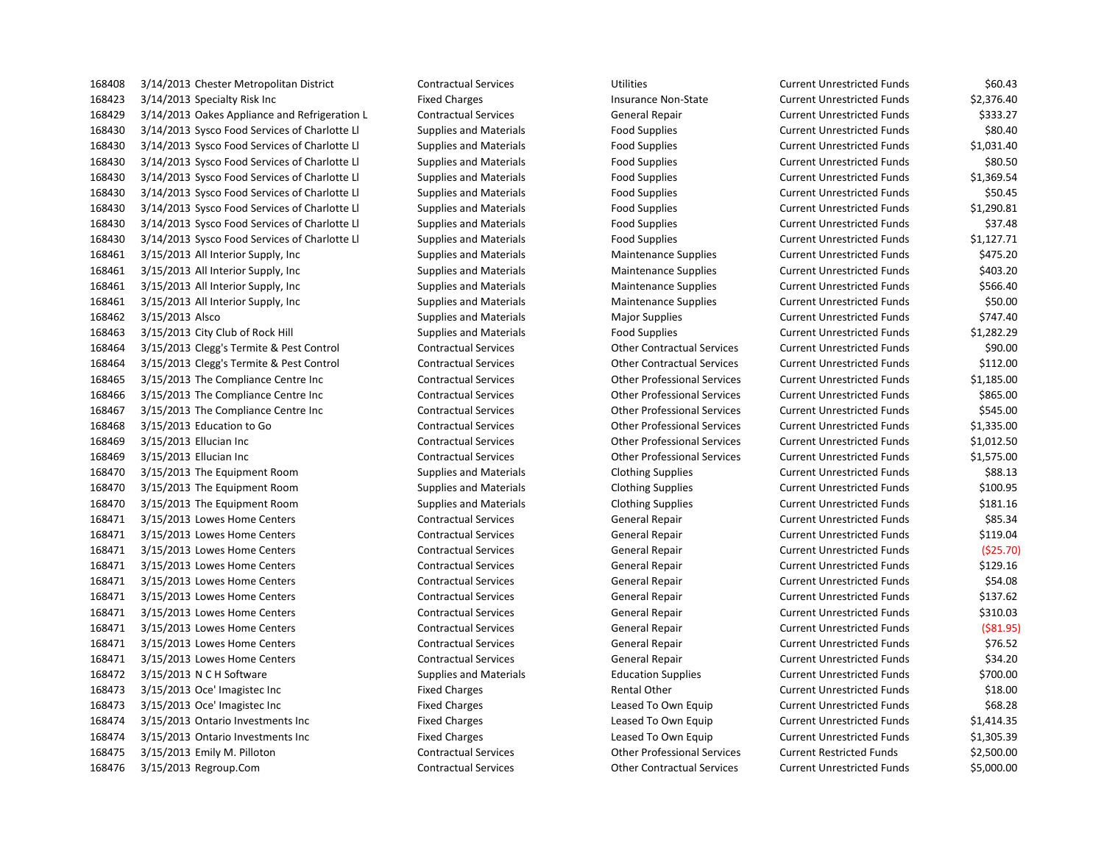3/14/2013 Specialty Risk Inc Fixed Charges Insurance Non-State Current Unrestricted Funds \$2,376.40 3/14/2013 Oakes Appliance and Refrigeration L Contractual Services General Repair Current Unrestricted Funds \$333.27 3/14/2013 Sysco Food Services of Charlotte Ll Supplies and Materials Food Supplies Current Unrestricted Funds \$80.40 3/14/2013 Sysco Food Services of Charlotte Ll Supplies and Materials Food Supplies Current Unrestricted Funds \$1,031.40 3/14/2013 Sysco Food Services of Charlotte Ll Supplies and Materials Food Supplies Current Unrestricted Funds \$80.50 3/14/2013 Sysco Food Services of Charlotte Ll Supplies and Materials Food Supplies Current Unrestricted Funds \$1,369.54 3/14/2013 Sysco Food Services of Charlotte Ll Supplies and Materials Food Supplies Current Unrestricted Funds \$50.45 3/14/2013 Sysco Food Services of Charlotte Ll Supplies and Materials Food Supplies Current Unrestricted Funds \$1,290.81 3/14/2013 Sysco Food Services of Charlotte Ll Supplies and Materials Food Supplies Current Unrestricted Funds \$37.48 3/14/2013 Sysco Food Services of Charlotte Ll Supplies and Materials Food Supplies Current Unrestricted Funds \$1,127.71 3/15/2013 All Interior Supply, Inc Supplies and Materials Maintenance Supplies Current Unrestricted Funds \$475.20 168461 3/15/2013 All Interior Supply, Inc Supplies and Materials Maintenance Supplies Current Unrestricted Funds \$403.20 3/15/2013 All Interior Supply, Inc Supplies and Materials Maintenance Supplies Current Unrestricted Funds \$566.40 3/15/2013 All Interior Supply, Inc Supplies and Materials Maintenance Supplies Current Unrestricted Funds \$50.00 168462 3/15/2013 Alsco Supplies and Materials Materials Major Supplies Current Unrestricted Funds 5747.40 3/15/2013 City Club of Rock Hill Supplies and Materials Food Supplies Current Unrestricted Funds \$1,282.29 3/15/2013 Clegg's Termite & Pest Control Contractual Services Other Contractual Services Current Unrestricted Funds \$90.00 3/15/2013 Clegg's Termite & Pest Control Contractual Services Other Contractual Services Current Unrestricted Funds \$112.00 3/15/2013 The Compliance Centre Inc Contractual Services Other Professional Services Current Unrestricted Funds \$1,185.00 3/15/2013 The Compliance Centre Inc Contractual Services Other Professional Services Current Unrestricted Funds \$865.00 3/15/2013 The Compliance Centre Inc Contractual Services Other Professional Services Current Unrestricted Funds \$545.00 3/15/2013 Education to Go Contractual Services Other Professional Services Current Unrestricted Funds \$1,335.00 3/15/2013 Ellucian Inc Contractual Services Other Professional Services Current Unrestricted Funds \$1,012.50 3/15/2013 Ellucian Inc Contractual Services Other Professional Services Current Unrestricted Funds \$1,575.00 3/15/2013 The Equipment Room Supplies and Materials Clothing Supplies Current Unrestricted Funds \$88.13 3/15/2013 The Equipment Room Supplies and Materials Clothing Supplies Current Unrestricted Funds \$100.95 3/15/2013 The Equipment Room Supplies and Materials Clothing Supplies Current Unrestricted Funds \$181.16 3/15/2013 Lowes Home Centers Contractual Services General Repair Current Unrestricted Funds \$85.34 3/15/2013 Lowes Home Centers Contractual Services General Repair Current Unrestricted Funds \$119.04 3/15/2013 Lowes Home Centers Contractual Services General Repair Current Unrestricted Funds (\$25.70) 3/15/2013 Lowes Home Centers Contractual Services General Repair Current Unrestricted Funds \$129.16 3/15/2013 Lowes Home Centers Contractual Services General Repair Current Unrestricted Funds \$54.08 3/15/2013 Lowes Home Centers Contractual Services General Repair Current Unrestricted Funds \$137.62 3/15/2013 Lowes Home Centers Contractual Services General Repair Current Unrestricted Funds \$310.03 3/15/2013 Lowes Home Centers Contractual Services General Repair Current Unrestricted Funds (\$81.95) 3/15/2013 Lowes Home Centers Contractual Services General Repair Current Unrestricted Funds \$76.52 3/15/2013 Lowes Home Centers Contractual Services General Repair Current Unrestricted Funds \$34.20 3/15/2013 N C H Software Supplies and Materials Education Supplies Current Unrestricted Funds \$700.00 3/15/2013 Oce' Imagistec Inc Fixed Charges Rental Other Current Unrestricted Funds \$18.00 3/15/2013 Oce' Imagistec Inc Fixed Charges Leased To Own Equip Current Unrestricted Funds \$68.28 3/15/2013 Ontario Investments Inc Fixed Charges Leased To Own Equip Current Unrestricted Funds \$1,414.35 3/15/2013 Ontario Investments Inc Fixed Charges Leased To Own Equip Current Unrestricted Funds \$1,305.39 3/15/2013 Emily M. Pilloton Contractual Services Other Professional Services Current Restricted Funds \$2,500.00 3/15/2013 Regroup.Com Contractual Services Other Contractual Services Current Unrestricted Funds \$5,000.00

3/14/2013 Chester Metropolitan District Contractual Services Utilities Current Unrestricted Funds \$60.43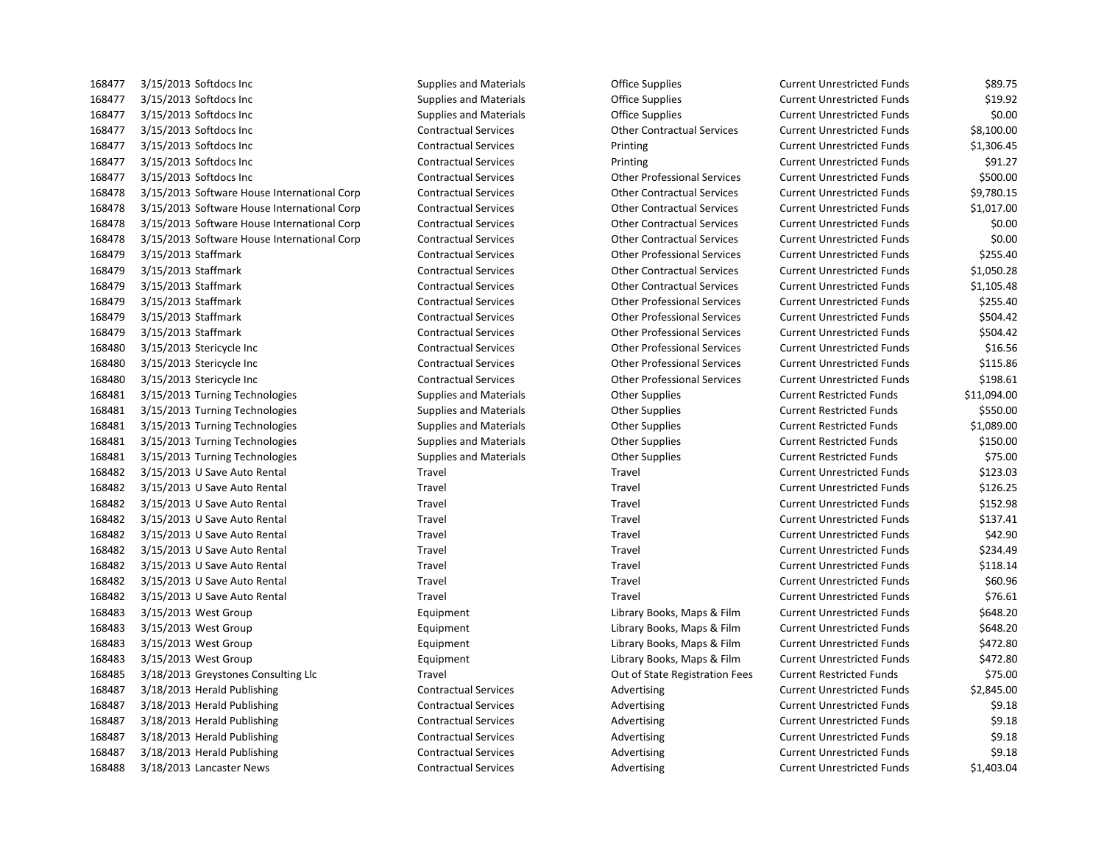| 168477 | 3/15/2013 Softdocs Inc                      | Supplies and Materials        | Office Supplies                    | Current Unrestricted Funds        | \$89.75     |
|--------|---------------------------------------------|-------------------------------|------------------------------------|-----------------------------------|-------------|
| 168477 | 3/15/2013 Softdocs Inc                      | <b>Supplies and Materials</b> | Office Supplies                    | <b>Current Unrestricted Funds</b> | \$19.92     |
| 168477 | 3/15/2013 Softdocs Inc                      | <b>Supplies and Materials</b> | <b>Office Supplies</b>             | <b>Current Unrestricted Funds</b> | \$0.00      |
| 168477 | 3/15/2013 Softdocs Inc                      | <b>Contractual Services</b>   | <b>Other Contractual Services</b>  | <b>Current Unrestricted Funds</b> | \$8,100.00  |
| 168477 | 3/15/2013 Softdocs Inc                      | <b>Contractual Services</b>   | Printing                           | <b>Current Unrestricted Funds</b> | \$1,306.45  |
| 168477 | 3/15/2013 Softdocs Inc                      | <b>Contractual Services</b>   | Printing                           | <b>Current Unrestricted Funds</b> | \$91.27     |
| 168477 | 3/15/2013 Softdocs Inc                      | <b>Contractual Services</b>   | <b>Other Professional Services</b> | <b>Current Unrestricted Funds</b> | \$500.00    |
| 168478 | 3/15/2013 Software House International Corp | <b>Contractual Services</b>   | <b>Other Contractual Services</b>  | <b>Current Unrestricted Funds</b> | \$9,780.15  |
| 168478 | 3/15/2013 Software House International Corp | <b>Contractual Services</b>   | <b>Other Contractual Services</b>  | <b>Current Unrestricted Funds</b> | \$1,017.00  |
| 168478 | 3/15/2013 Software House International Corp | <b>Contractual Services</b>   | <b>Other Contractual Services</b>  | <b>Current Unrestricted Funds</b> | \$0.00      |
| 168478 | 3/15/2013 Software House International Corp | <b>Contractual Services</b>   | <b>Other Contractual Services</b>  | <b>Current Unrestricted Funds</b> | \$0.00      |
| 168479 | 3/15/2013 Staffmark                         | <b>Contractual Services</b>   | <b>Other Professional Services</b> | <b>Current Unrestricted Funds</b> | \$255.40    |
| 168479 | 3/15/2013 Staffmark                         | <b>Contractual Services</b>   | <b>Other Contractual Services</b>  | <b>Current Unrestricted Funds</b> | \$1,050.28  |
| 168479 | 3/15/2013 Staffmark                         | <b>Contractual Services</b>   | <b>Other Contractual Services</b>  | <b>Current Unrestricted Funds</b> | \$1,105.48  |
| 168479 | 3/15/2013 Staffmark                         | <b>Contractual Services</b>   | <b>Other Professional Services</b> | <b>Current Unrestricted Funds</b> | \$255.40    |
| 168479 | 3/15/2013 Staffmark                         | <b>Contractual Services</b>   | <b>Other Professional Services</b> | <b>Current Unrestricted Funds</b> | \$504.42    |
| 168479 | 3/15/2013 Staffmark                         | <b>Contractual Services</b>   | <b>Other Professional Services</b> | <b>Current Unrestricted Funds</b> | \$504.42    |
| 168480 | 3/15/2013 Stericycle Inc                    | <b>Contractual Services</b>   | <b>Other Professional Services</b> | <b>Current Unrestricted Funds</b> | \$16.56     |
| 168480 | 3/15/2013 Stericycle Inc                    | <b>Contractual Services</b>   | <b>Other Professional Services</b> | <b>Current Unrestricted Funds</b> | \$115.86    |
| 168480 | 3/15/2013 Stericycle Inc                    | <b>Contractual Services</b>   | <b>Other Professional Services</b> | <b>Current Unrestricted Funds</b> | \$198.61    |
| 168481 | 3/15/2013 Turning Technologies              | <b>Supplies and Materials</b> | <b>Other Supplies</b>              | <b>Current Restricted Funds</b>   | \$11,094.00 |
| 168481 | 3/15/2013 Turning Technologies              | <b>Supplies and Materials</b> | <b>Other Supplies</b>              | <b>Current Restricted Funds</b>   | \$550.00    |
| 168481 | 3/15/2013 Turning Technologies              | <b>Supplies and Materials</b> | <b>Other Supplies</b>              | <b>Current Restricted Funds</b>   | \$1,089.00  |
| 168481 | 3/15/2013 Turning Technologies              | <b>Supplies and Materials</b> | <b>Other Supplies</b>              | <b>Current Restricted Funds</b>   | \$150.00    |
| 168481 | 3/15/2013 Turning Technologies              | <b>Supplies and Materials</b> | <b>Other Supplies</b>              | <b>Current Restricted Funds</b>   | \$75.00     |
| 168482 | 3/15/2013 U Save Auto Rental                | Travel                        | Travel                             | <b>Current Unrestricted Funds</b> | \$123.03    |
| 168482 | 3/15/2013 U Save Auto Rental                | Travel                        | Travel                             | <b>Current Unrestricted Funds</b> | \$126.25    |
| 168482 | 3/15/2013 U Save Auto Rental                | Travel                        | Travel                             | <b>Current Unrestricted Funds</b> | \$152.98    |
| 168482 | 3/15/2013 U Save Auto Rental                | Travel                        | Travel                             | <b>Current Unrestricted Funds</b> | \$137.41    |
| 168482 | 3/15/2013 U Save Auto Rental                | Travel                        | Travel                             | <b>Current Unrestricted Funds</b> | \$42.90     |
| 168482 | 3/15/2013 U Save Auto Rental                | Travel                        | Travel                             | <b>Current Unrestricted Funds</b> | \$234.49    |
| 168482 | 3/15/2013 U Save Auto Rental                | Travel                        | Travel                             | <b>Current Unrestricted Funds</b> | \$118.14    |
| 168482 | 3/15/2013 U Save Auto Rental                | Travel                        | Travel                             | <b>Current Unrestricted Funds</b> | \$60.96     |
| 168482 | 3/15/2013 U Save Auto Rental                | Travel                        | Travel                             | <b>Current Unrestricted Funds</b> | \$76.61     |
| 168483 | 3/15/2013 West Group                        | Equipment                     | Library Books, Maps & Film         | <b>Current Unrestricted Funds</b> | \$648.20    |
| 168483 | 3/15/2013 West Group                        | Equipment                     | Library Books, Maps & Film         | <b>Current Unrestricted Funds</b> | \$648.20    |
| 168483 | 3/15/2013 West Group                        | Equipment                     | Library Books, Maps & Film         | <b>Current Unrestricted Funds</b> | \$472.80    |
| 168483 | 3/15/2013 West Group                        | Equipment                     | Library Books, Maps & Film         | <b>Current Unrestricted Funds</b> | \$472.80    |
| 168485 | 3/18/2013 Greystones Consulting Llc         | Travel                        | Out of State Registration Fees     | <b>Current Restricted Funds</b>   | \$75.00     |
| 168487 | 3/18/2013 Herald Publishing                 | <b>Contractual Services</b>   | Advertising                        | <b>Current Unrestricted Funds</b> | \$2,845.00  |
| 168487 | 3/18/2013 Herald Publishing                 | <b>Contractual Services</b>   | Advertising                        | <b>Current Unrestricted Funds</b> | \$9.18      |
| 168487 | 3/18/2013 Herald Publishing                 | <b>Contractual Services</b>   | Advertising                        | <b>Current Unrestricted Funds</b> | \$9.18      |
| 168487 | 3/18/2013 Herald Publishing                 | <b>Contractual Services</b>   | Advertising                        | <b>Current Unrestricted Funds</b> | \$9.18      |
| 168487 | 3/18/2013 Herald Publishing                 | <b>Contractual Services</b>   | Advertising                        | <b>Current Unrestricted Funds</b> | \$9.18      |
| 168488 | 3/18/2013 Lancaster News                    | <b>Contractual Services</b>   | Advertising                        | <b>Current Unrestricted Funds</b> | \$1,403.04  |

| <b>Current Unrestricted Funds</b> | \$89.75     |
|-----------------------------------|-------------|
| <b>Current Unrestricted Funds</b> | \$19.92     |
| <b>Current Unrestricted Funds</b> | \$0.00      |
| <b>Current Unrestricted Funds</b> | \$8,100.00  |
| <b>Current Unrestricted Funds</b> | \$1,306.45  |
| <b>Current Unrestricted Funds</b> | \$91.27     |
| <b>Current Unrestricted Funds</b> | \$500.00    |
| <b>Current Unrestricted Funds</b> | \$9,780.15  |
| <b>Current Unrestricted Funds</b> | \$1,017.00  |
| <b>Current Unrestricted Funds</b> | \$0.00      |
| <b>Current Unrestricted Funds</b> | \$0.00      |
| <b>Current Unrestricted Funds</b> | \$255.40    |
| <b>Current Unrestricted Funds</b> | \$1,050.28  |
| <b>Current Unrestricted Funds</b> | \$1,105.48  |
| <b>Current Unrestricted Funds</b> | \$255.40    |
| <b>Current Unrestricted Funds</b> | \$504.42    |
| <b>Current Unrestricted Funds</b> | \$504.42    |
| <b>Current Unrestricted Funds</b> | \$16.56     |
| <b>Current Unrestricted Funds</b> | \$115.86    |
| <b>Current Unrestricted Funds</b> | \$198.61    |
| <b>Current Restricted Funds</b>   | \$11,094.00 |
| <b>Current Restricted Funds</b>   | \$550.00    |
| <b>Current Restricted Funds</b>   | \$1,089.00  |
| <b>Current Restricted Funds</b>   | \$150.00    |
| <b>Current Restricted Funds</b>   | \$75.00     |
| <b>Current Unrestricted Funds</b> | \$123.03    |
| <b>Current Unrestricted Funds</b> | \$126.25    |
| <b>Current Unrestricted Funds</b> | \$152.98    |
| <b>Current Unrestricted Funds</b> | \$137.41    |
| <b>Current Unrestricted Funds</b> | \$42.90     |
| <b>Current Unrestricted Funds</b> | \$234.49    |
| <b>Current Unrestricted Funds</b> | \$118.14    |
| <b>Current Unrestricted Funds</b> | \$60.96     |
| <b>Current Unrestricted Funds</b> | \$76.61     |
| <b>Current Unrestricted Funds</b> | \$648.20    |
| <b>Current Unrestricted Funds</b> | \$648.20    |
| <b>Current Unrestricted Funds</b> | \$472.80    |
| <b>Current Unrestricted Funds</b> | \$472.80    |
| <b>Current Restricted Funds</b>   | \$75.00     |
| <b>Current Unrestricted Funds</b> | \$2,845.00  |
| <b>Current Unrestricted Funds</b> | \$9.18      |
| <b>Current Unrestricted Funds</b> | \$9.18      |
| <b>Current Unrestricted Funds</b> | \$9.18      |
| <b>Current Unrestricted Funds</b> | \$9.18      |
| <b>Current Unrestricted Funds</b> | \$1 403 04  |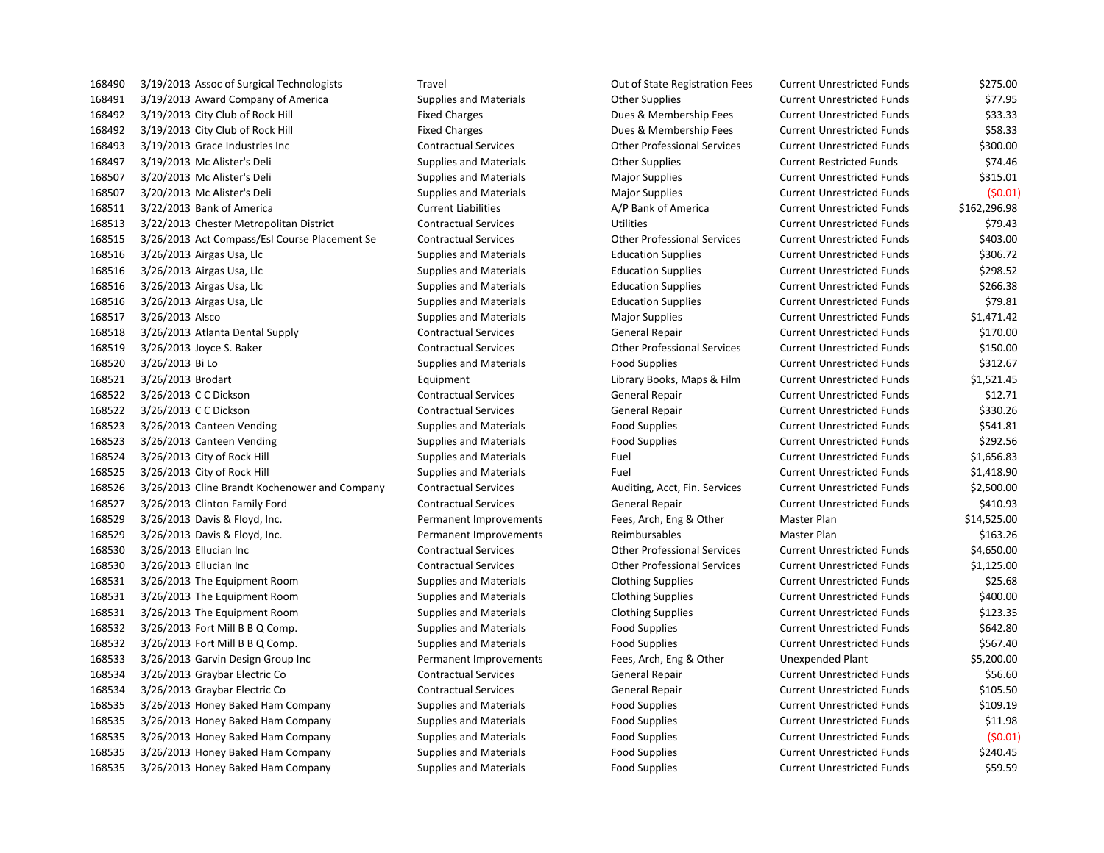| 168490 |                   | 3/19/2013 Assoc of Surgical Technologists     |
|--------|-------------------|-----------------------------------------------|
| 168491 |                   | 3/19/2013 Award Company of America            |
| 168492 |                   | 3/19/2013 City Club of Rock Hill              |
| 168492 |                   | 3/19/2013 City Club of Rock Hill              |
| 168493 |                   | 3/19/2013 Grace Industries Inc                |
| 168497 |                   | 3/19/2013 Mc Alister's Deli                   |
| 168507 |                   | 3/20/2013 Mc Alister's Deli                   |
| 168507 |                   | 3/20/2013 Mc Alister's Deli                   |
| 168511 |                   | 3/22/2013 Bank of America                     |
| 168513 |                   | 3/22/2013 Chester Metropolitan District       |
| 168515 |                   | 3/26/2013 Act Compass/Esl Course Placement Se |
| 168516 |                   | 3/26/2013 Airgas Usa, Llc                     |
| 168516 |                   | 3/26/2013 Airgas Usa, Llc                     |
| 168516 |                   | 3/26/2013 Airgas Usa, Llc                     |
| 168516 |                   | 3/26/2013 Airgas Usa, Llc                     |
| 168517 | 3/26/2013 Alsco   |                                               |
| 168518 |                   | 3/26/2013 Atlanta Dental Supply               |
| 168519 |                   | 3/26/2013 Joyce S. Baker                      |
| 168520 | 3/26/2013 Bi Lo   |                                               |
| 168521 | 3/26/2013 Brodart |                                               |
| 168522 |                   | 3/26/2013 C C Dickson                         |
| 168522 |                   | 3/26/2013 C C Dickson                         |
| 168523 |                   | 3/26/2013 Canteen Vending                     |
| 168523 |                   | 3/26/2013 Canteen Vending                     |
| 168524 |                   | 3/26/2013 City of Rock Hill                   |
| 168525 |                   | 3/26/2013 City of Rock Hill                   |
| 168526 |                   | 3/26/2013 Cline Brandt Kochenower and Company |
| 168527 |                   | 3/26/2013 Clinton Family Ford                 |
| 168529 |                   | 3/26/2013 Davis & Floyd, Inc.                 |
| 168529 |                   | 3/26/2013 Davis & Floyd, Inc.                 |
| 168530 |                   | 3/26/2013 Ellucian Inc                        |
| 168530 |                   | 3/26/2013 Ellucian Inc                        |
| 168531 |                   | 3/26/2013 The Equipment Room                  |
| 168531 |                   | 3/26/2013 The Equipment Room                  |
| 168531 |                   | 3/26/2013 The Equipment Room                  |
| 168532 |                   | 3/26/2013 Fort Mill B B Q Comp.               |
| 168532 |                   | 3/26/2013 Fort Mill B B Q Comp.               |
| 168533 |                   | 3/26/2013 Garvin Design Group Inc             |
| 168534 |                   | 3/26/2013 Graybar Electric Co                 |
| 168534 |                   | 3/26/2013 Graybar Electric Co                 |
| 168535 |                   | 3/26/2013 Honey Baked Ham Company             |
| 168535 |                   | 3/26/2013 Honey Baked Ham Company             |
| 168535 |                   | 3/26/2013 Honey Baked Ham Company             |
| 168535 |                   | 3/26/2013 Honey Baked Ham Company             |
| 168535 |                   | 3/26/2013 Honey Baked Ham Company             |

 3/19/2013 Assoc of Surgical Technologists Travel Out of State Registration Fees Current Unrestricted Funds \$275.00 3/19/2013 Award Company of America Supplies and Materials Other Supplies Current Unrestricted Funds \$77.95 Fixed Charges The Same of Club of Rock Hill Fixed Charges Current Unrestricted Funds The Same Same Same Same S 1683.33 16849 2.1914 Tixed Charges Current Unrestricted Funds 2.58.33 Current Unrestricted Funds 3/19/2013 Grace Industries Inc Contractual Services Other Professional Services Current Unrestricted Funds \$300.00 3/19/2013 Mc Alister's Deli Supplies and Materials Other Supplies Current Restricted Funds \$74.46 3/20/2013 Mc Alister's Deli Supplies and Materials Major Supplies Current Unrestricted Funds \$315.01 3/20/2013 Mc Alister's Deli Supplies and Materials Major Supplies Current Unrestricted Funds (\$0.01) 3/22/2013 Bank of America Current Liabilities A/P Bank of America Current Unrestricted Funds \$162,296.98 3/22/2013 Chester Metropolitan District Contractual Services Utilities Current Unrestricted Funds \$79.43 3/26/2013 Act Compass/Esl Course Placement Se Contractual Services Other Professional Services Current Unrestricted Funds \$403.00 3/26/2013 Airgas Usa, Llc Supplies and Materials Education Supplies Current Unrestricted Funds \$306.72 3/26/2013 Airgas Usa, Llc Supplies and Materials Education Supplies Current Unrestricted Funds \$298.52 3/26/2013 Airgas Usa, Llc Supplies and Materials Education Supplies Current Unrestricted Funds \$266.38 3/26/2013 Airgas Usa, Llc Supplies and Materials Education Supplies Current Unrestricted Funds \$79.81 3/26/2013 Alsco Supplies and Materials Major Supplies Current Unrestricted Funds \$1,471.42 3/26/2013 Atlanta Dental Supply Contractual Services General Repair Current Unrestricted Funds \$170.00 3/26/2013 Joyce S. Baker Contractual Services Other Professional Services Current Unrestricted Funds \$150.00 3/26/2013 Bi Lo Supplies and Materials Food Supplies Current Unrestricted Funds \$312.67 3/26/2013 Brodart Equipment Library Books, Maps & Film Current Unrestricted Funds \$1,521.45 3/26/2013 C C Dickson Contractual Services General Repair Current Unrestricted Funds \$12.71 3/26/2013 C C Dickson Contractual Services General Repair Current Unrestricted Funds \$330.26 3/26/2013 Canteen Vending Supplies and Materials Food Supplies Current Unrestricted Funds \$541.81 3/26/2013 Canteen Vending Supplies and Materials Food Supplies Current Unrestricted Funds \$292.56 3/26/2013 City of Rock Hill Supplies and Materials Fuel Current Unrestricted Funds \$1,656.83 3/26/2013 City of Rock Hill Supplies and Materials Fuel Current Unrestricted Funds \$1,418.90 3/26/2013 Cline Brandt Kochenower and Company Contractual Services Auditing, Acct, Fin. Services Current Unrestricted Funds \$2,500.00 3/26/2013 Clinton Family Ford Contractual Services General Repair Current Unrestricted Funds \$410.93 Permanent Improvements Fees, Arch, Eng & Other Master Plan \$14,525.00 Permanent Improvements **168.26 Reimbursables** Master Plan **Master Plan** \$163.26 3/26/2013 Ellucian Inc Contractual Services Other Professional Services Current Unrestricted Funds \$4,650.00 3/26/2013 Ellucian Inc Contractual Services Other Professional Services Current Unrestricted Funds \$1,125.00 3/26/2013 The Equipment Room Supplies and Materials Clothing Supplies Current Unrestricted Funds \$25.68 3/26/2013 The Equipment Room Supplies and Materials Clothing Supplies Current Unrestricted Funds \$400.00 3/26/2013 The Equipment Room Supplies and Materials Clothing Supplies Current Unrestricted Funds \$123.35 1682.80 Supplies and Materials **Food Supplies** Food Supplies Current Unrestricted Funds 1687.40 Supplies and Materials **Food Supplies A Current Unrestricted Funds** \$567.40 Permanent Improvements Fees, Arch, Eng & Other Unexpended Plant \$5,200.00 3/26/2013 Graybar Electric Co Contractual Services General Repair Current Unrestricted Funds \$56.60 3/26/2013 Graybar Electric Co Contractual Services General Repair Current Unrestricted Funds \$105.50 3/26/2013 Honey Baked Ham Company Supplies and Materials Food Supplies Current Unrestricted Funds \$109.19 3/26/2013 Honey Baked Ham Company Supplies and Materials Food Supplies Current Unrestricted Funds \$11.98 3/26/2013 Honey Baked Ham Company Supplies and Materials Food Supplies Current Unrestricted Funds (\$0.01) 3/26/2013 Honey Baked Ham Company Supplies and Materials Food Supplies Current Unrestricted Funds \$240.45 3/26/2013 Honey Baked Ham Company Supplies and Materials Food Supplies Current Unrestricted Funds \$59.59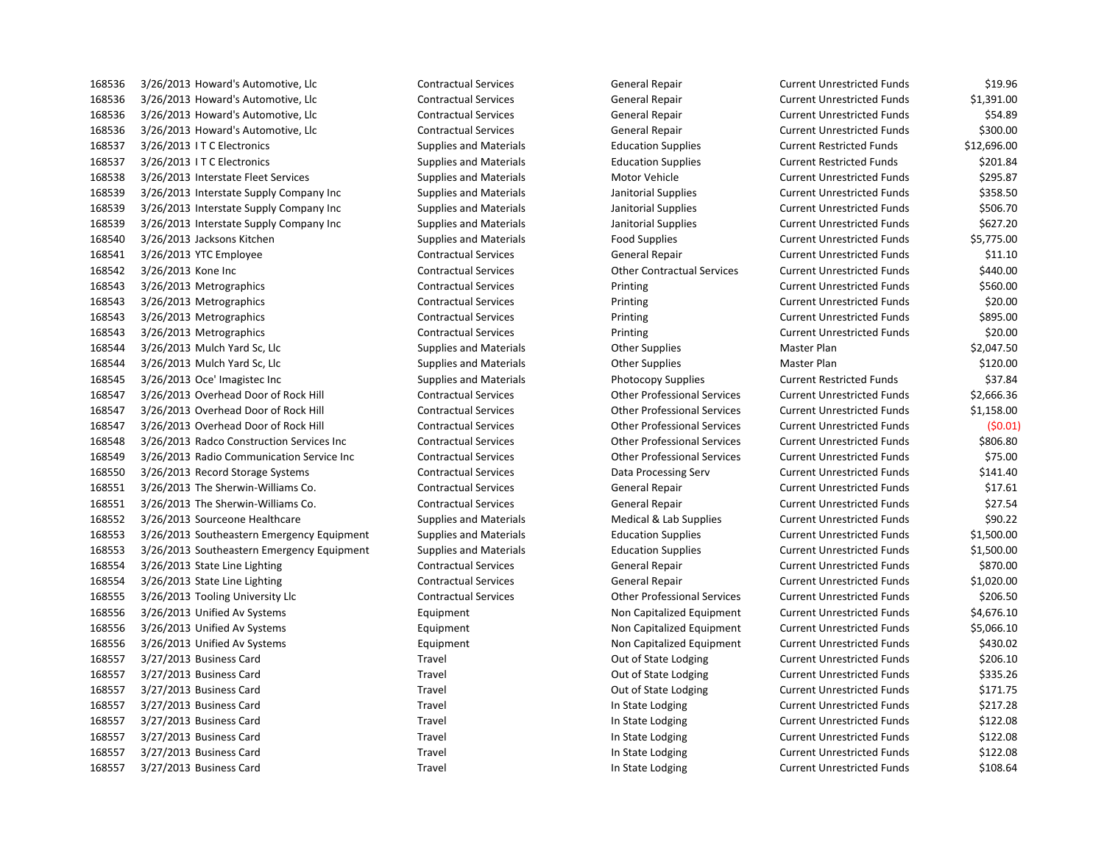3/26/2013 Howard's Automotive, Llc Contractual Services General Repair Current Unrestricted Funds \$19.96 3/26/2013 Howard's Automotive, Llc Contractual Services General Repair Current Unrestricted Funds \$1,391.00 3/26/2013 Howard's Automotive, Llc Contractual Services General Repair Current Unrestricted Funds \$54.89 3/26/2013 Howard's Automotive, Llc Contractual Services General Repair Current Unrestricted Funds \$300.00 3/26/2013 I T C Electronics Supplies and Materials Education Supplies Current Restricted Funds \$12,696.00 3/26/2013 I T C Electronics Supplies and Materials Education Supplies Current Restricted Funds \$201.84 168538 3/26/2013 Interstate Fleet Services Supplies and Materials Motor Vehicle Current Unrestricted Funds \$295.87 168539 3/26/2013 Interstate Supply Company Inc Supplies and Materials Janitorial Supplies Current Unrestricted Funds \$358.50 168539 3/26/2013 Interstate Supply Company Inc Supplies and Materials Janitorial Supplies Current Unrestricted Funds \$506.70 3/26/2013 Interstate Supply Company Inc Supplies and Materials Janitorial Supplies Current Unrestricted Funds \$627.20 3/26/2013 Jacksons Kitchen Supplies and Materials Food Supplies Current Unrestricted Funds \$5,775.00 3/26/2013 YTC Employee Contractual Services General Repair Current Unrestricted Funds \$11.10 3/26/2013 Kone Inc Contractual Services Other Contractual Services Current Unrestricted Funds \$440.00 3/26/2013 Metrographics Contractual Services Printing Current Unrestricted Funds \$560.00 3/26/2013 Metrographics Contractual Services Printing Current Unrestricted Funds \$20.00 3/26/2013 Metrographics Contractual Services Printing Current Unrestricted Funds \$895.00 3/26/2013 Metrographics Contractual Services Printing Current Unrestricted Funds \$20.00 168544 3/26/2013 Mulch Yard Sc, Llc Supplies and Materials Communics Communication Communics Mater Plan \$2,047.50 168544 3/26/2013 Mulch Yard Sc, Llc Supplies and Materials Communics Communication Communics Mater Plan \$120.00 3/26/2013 Oce' Imagistec Inc Supplies and Materials Photocopy Supplies Current Restricted Funds \$37.84 3/26/2013 Overhead Door of Rock Hill Contractual Services Other Professional Services Current Unrestricted Funds \$2,666.36 3/26/2013 Overhead Door of Rock Hill Contractual Services Other Professional Services Current Unrestricted Funds \$1,158.00 3/26/2013 Overhead Door of Rock Hill Contractual Services Other Professional Services Current Unrestricted Funds (\$0.01) 3/26/2013 Radco Construction Services Inc Contractual Services Other Professional Services Current Unrestricted Funds \$806.80 3/26/2013 Radio Communication Service Inc Contractual Services Other Professional Services Current Unrestricted Funds \$75.00 3/26/2013 Record Storage Systems Contractual Services Data Processing Serv Current Unrestricted Funds \$141.40 3/26/2013 The Sherwin-Williams Co. Contractual Services General Repair Current Unrestricted Funds \$17.61 3/26/2013 The Sherwin-Williams Co. Contractual Services General Repair Current Unrestricted Funds \$27.54 3/26/2013 Sourceone Healthcare Supplies and Materials Medical & Lab Supplies Current Unrestricted Funds \$90.22 3/26/2013 Southeastern Emergency Equipment Supplies and Materials Education Supplies Current Unrestricted Funds \$1,500.00 3/26/2013 Southeastern Emergency Equipment Supplies and Materials Education Supplies Current Unrestricted Funds \$1,500.00 3/26/2013 State Line Lighting Contractual Services General Repair Current Unrestricted Funds \$870.00 3/26/2013 State Line Lighting Contractual Services General Repair Current Unrestricted Funds \$1,020.00 3/26/2013 Tooling University Llc Contractual Services Other Professional Services Current Unrestricted Funds \$206.50 3/26/2013 Unified Av Systems Equipment Non Capitalized Equipment Current Unrestricted Funds \$4,676.10 3/26/2013 Unified Av Systems Equipment Non Capitalized Equipment Current Unrestricted Funds \$5,066.10 3/26/2013 Unified Av Systems Equipment Non Capitalized Equipment Current Unrestricted Funds \$430.02 168557 3/27/2013 Business Card Travel Travel Travel Current Unrestricted Funds \$206.10 168557 3/27/2013 Business Card Travel Travel Travel Current Unrestricted Funds \$335.26 3/27/2013 Business Card Travel Out of State Lodging Current Unrestricted Funds \$171.75 168557 3/27/2013 Business Card Travel Travel Travel Travel In State Lodging Current Unrestricted Funds \$217.28 3/27/2013 Business Card Travel In State Lodging Current Unrestricted Funds \$122.08 3/27/2013 Business Card Travel In State Lodging Current Unrestricted Funds \$122.08 3/27/2013 Business Card Travel In State Lodging Current Unrestricted Funds \$122.08 168557 3/27/2013 Business Card Travel Travel Travel and State Lodging Current Unrestricted Funds \$108.64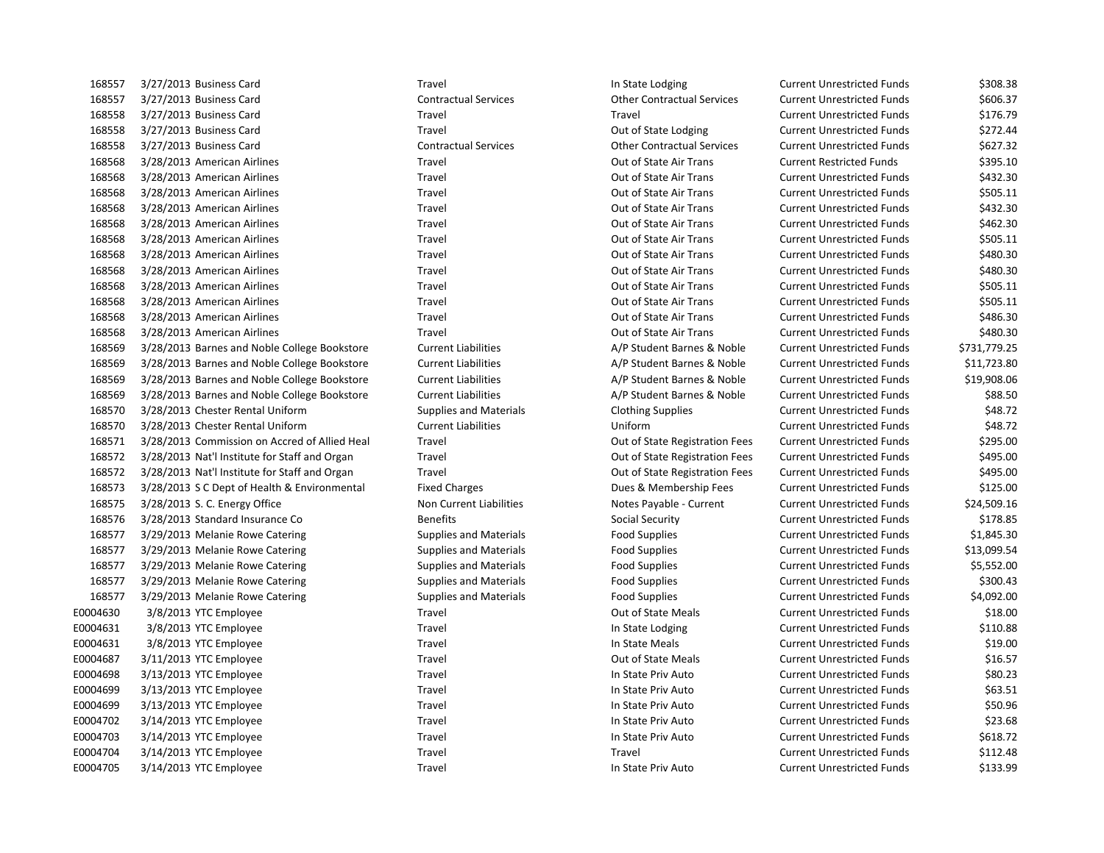3/27/2013 Business Card Travel In State Lodging Current Unrestricted Funds \$308.38 3/27/2013 Business Card Contractual Services Other Contractual Services Current Unrestricted Funds \$606.37 3/27/2013 Business Card Travel Travel Current Unrestricted Funds \$176.79 3/27/2013 Business Card Travel Out of State Lodging Current Unrestricted Funds \$272.44 3/27/2013 Business Card Contractual Services Other Contractual Services Current Unrestricted Funds \$627.32 3/28/2013 American Airlines Travel Out of State Air Trans Current Restricted Funds \$395.10 3/28/2013 American Airlines Travel Out of State Air Trans Current Unrestricted Funds \$432.30 3/28/2013 American Airlines Travel Out of State Air Trans Current Unrestricted Funds \$505.11 3/28/2013 American Airlines Travel Out of State Air Trans Current Unrestricted Funds \$432.30 3/28/2013 American Airlines Travel Out of State Air Trans Current Unrestricted Funds \$462.30 3/28/2013 American Airlines Travel Out of State Air Trans Current Unrestricted Funds \$505.11 168568 3/28/2013 American Airlines Carries Travel Travel Current Current Unrestricted Funds 5480.30 3/28/2013 American Airlines Travel Out of State Air Trans Current Unrestricted Funds \$480.30 3/28/2013 American Airlines Travel Out of State Air Trans Current Unrestricted Funds \$505.11 3/28/2013 American Airlines Travel Out of State Air Trans Current Unrestricted Funds \$505.11 3/28/2013 American Airlines Travel Out of State Air Trans Current Unrestricted Funds \$486.30 3/28/2013 American Airlines Travel Out of State Air Trans Current Unrestricted Funds \$480.30 3/28/2013 Barnes and Noble College Bookstore Current Liabilities A/P Student Barnes & Noble Current Unrestricted Funds \$731,779.25 3/28/2013 Barnes and Noble College Bookstore Current Liabilities A/P Student Barnes & Noble Current Unrestricted Funds \$11,723.80 3/28/2013 Barnes and Noble College Bookstore Current Liabilities A/P Student Barnes & Noble Current Unrestricted Funds \$19,908.06 3/28/2013 Barnes and Noble College Bookstore Current Liabilities A/P Student Barnes & Noble Current Unrestricted Funds \$88.50 3/28/2013 Chester Rental Uniform Supplies and Materials Clothing Supplies Current Unrestricted Funds \$48.72 3/28/2013 Chester Rental Uniform Current Liabilities Uniform Current Unrestricted Funds \$48.72 3/28/2013 Commission on Accred of Allied Heal Travel Out of State Registration Fees Current Unrestricted Funds \$295.00 3/28/2013 Nat'l Institute for Staff and Organ Travel Out of State Registration Fees Current Unrestricted Funds \$495.00 3/28/2013 Nat'l Institute for Staff and Organ Travel Out of State Registration Fees Current Unrestricted Funds \$495.00 3/28/2013 S C Dept of Health & Environmental Fixed Charges Dues & Membership Fees Current Unrestricted Funds \$125.00 168575 3/28/2013 S. C. Energy Office Non Current Liabilities Notes Payable - Current Current Unrestricted Funds \$24,509.16 168576 3/28/2013 Standard Insurance Co Benefits Benefits Social Security Current Unrestricted Funds \$178.85 3/29/2013 Melanie Rowe Catering Supplies and Materials Food Supplies Current Unrestricted Funds \$1,845.30 3/29/2013 Melanie Rowe Catering Supplies and Materials Food Supplies Current Unrestricted Funds \$13,099.54 3/29/2013 Melanie Rowe Catering Supplies and Materials Food Supplies Current Unrestricted Funds \$5,552.00 168577 3/29/2013 Melanie Rowe Catering Supplies and Materials Food Supplies Food Supplies Current Unrestricted Funds \$300.43 3/29/2013 Melanie Rowe Catering Supplies and Materials Food Supplies Current Unrestricted Funds \$4,092.00 E0004630 3/8/2013 YTC Employee Travel Travel Travel Out of State Meals Current Unrestricted Funds \$18.00 E0004631 3/8/2013 YTC Employee Travel Travel Travel In State Lodging Current Unrestricted Funds \$110.88 E0004631 3/8/2013 YTC Employee Travel Travel Travel In State Meals Current Unrestricted Funds \$19.00 E0004687 3/11/2013 YTC Employee Travel Travel Travel Out of State Meals Current Unrestricted Funds \$16.57 E0004698 3/13/2013 YTC Employee Travel Travel Travel In State Priv Auto Current Unrestricted Funds \$80.23 E0004699 3/13/2013 YTC Employee Travel Travel Travel In State Priv Auto Current Unrestricted Funds \$63.51 E0004699 3/13/2013 YTC Employee Travel Travel Travel In State Priv Auto Current Unrestricted Funds \$50.96 E0004702 3/14/2013 YTC Employee Travel Travel Travel In State Priv Auto Current Unrestricted Funds \$23.68 E0004703 3/14/2013 YTC Employee Travel Travel Travel In State Priv Auto Current Unrestricted Funds \$618.72 E0004704 3/14/2013 YTC Employee Travel Travel Travel Travel Travel Travel Current Unrestricted Funds \$112.48 E0004705 3/14/2013 YTC Employee Travel Travel Travel In State Priv Auto Current Unrestricted Funds \$133.99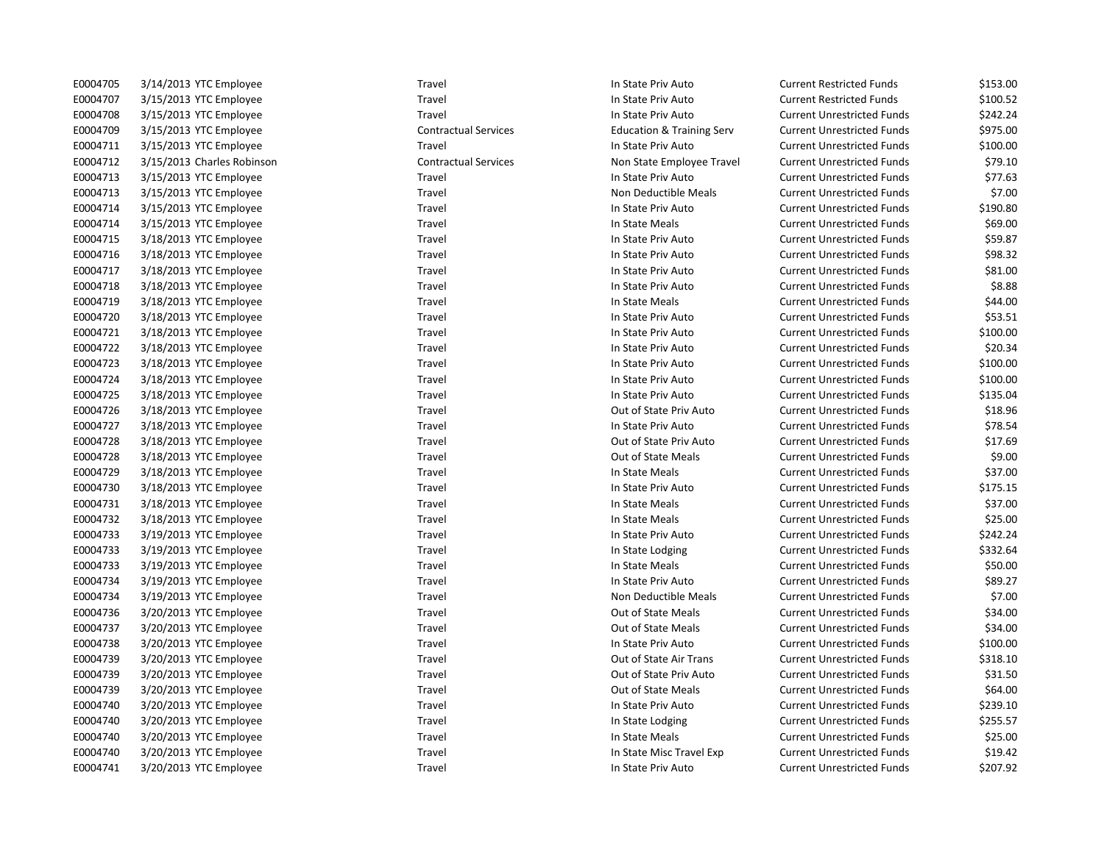| E0004705 | 3/14/2013 YTC Employee     | Travel                      | In State Priv Auto                   | <b>Current Restricted Funds</b>   | \$153.00 |
|----------|----------------------------|-----------------------------|--------------------------------------|-----------------------------------|----------|
| E0004707 | 3/15/2013 YTC Employee     | Travel                      | In State Priv Auto                   | <b>Current Restricted Funds</b>   | \$100.52 |
| E0004708 | 3/15/2013 YTC Employee     | Travel                      | In State Priv Auto                   | <b>Current Unrestricted Funds</b> | \$242.24 |
| E0004709 | 3/15/2013 YTC Employee     | <b>Contractual Services</b> | <b>Education &amp; Training Serv</b> | <b>Current Unrestricted Funds</b> | \$975.00 |
| E0004711 | 3/15/2013 YTC Employee     | Travel                      | In State Priv Auto                   | <b>Current Unrestricted Funds</b> | \$100.00 |
| E0004712 | 3/15/2013 Charles Robinson | <b>Contractual Services</b> | Non State Employee Travel            | <b>Current Unrestricted Funds</b> | \$79.10  |
| E0004713 | 3/15/2013 YTC Employee     | Travel                      | In State Priv Auto                   | <b>Current Unrestricted Funds</b> | \$77.63  |
| E0004713 | 3/15/2013 YTC Employee     | Travel                      | Non Deductible Meals                 | <b>Current Unrestricted Funds</b> | \$7.00   |
| E0004714 | 3/15/2013 YTC Employee     | Travel                      | In State Priv Auto                   | <b>Current Unrestricted Funds</b> | \$190.80 |
| E0004714 | 3/15/2013 YTC Employee     | Travel                      | In State Meals                       | <b>Current Unrestricted Funds</b> | \$69.00  |
| E0004715 | 3/18/2013 YTC Employee     | Travel                      | In State Priv Auto                   | <b>Current Unrestricted Funds</b> | \$59.87  |
| E0004716 | 3/18/2013 YTC Employee     | Travel                      | In State Priv Auto                   | <b>Current Unrestricted Funds</b> | \$98.32  |
| E0004717 | 3/18/2013 YTC Employee     | Travel                      | In State Priv Auto                   | <b>Current Unrestricted Funds</b> | \$81.00  |
| E0004718 | 3/18/2013 YTC Employee     | Travel                      | In State Priv Auto                   | <b>Current Unrestricted Funds</b> | \$8.88   |
| E0004719 | 3/18/2013 YTC Employee     | Travel                      | In State Meals                       | <b>Current Unrestricted Funds</b> | \$44.00  |
| E0004720 | 3/18/2013 YTC Employee     | Travel                      | In State Priv Auto                   | <b>Current Unrestricted Funds</b> | \$53.51  |
| E0004721 | 3/18/2013 YTC Employee     | Travel                      | In State Priv Auto                   | <b>Current Unrestricted Funds</b> | \$100.00 |
| E0004722 | 3/18/2013 YTC Employee     | Travel                      | In State Priv Auto                   | <b>Current Unrestricted Funds</b> | \$20.34  |
| E0004723 | 3/18/2013 YTC Employee     | Travel                      | In State Priv Auto                   | <b>Current Unrestricted Funds</b> | \$100.00 |
| E0004724 | 3/18/2013 YTC Employee     | Travel                      | In State Priv Auto                   | <b>Current Unrestricted Funds</b> | \$100.00 |
| E0004725 | 3/18/2013 YTC Employee     | Travel                      | In State Priv Auto                   | <b>Current Unrestricted Funds</b> | \$135.04 |
| E0004726 | 3/18/2013 YTC Employee     | Travel                      | Out of State Priv Auto               | <b>Current Unrestricted Funds</b> | \$18.96  |
| E0004727 | 3/18/2013 YTC Employee     | Travel                      | In State Priv Auto                   | <b>Current Unrestricted Funds</b> | \$78.54  |
| E0004728 | 3/18/2013 YTC Employee     | Travel                      | Out of State Priv Auto               | <b>Current Unrestricted Funds</b> | \$17.69  |
| E0004728 | 3/18/2013 YTC Employee     | Travel                      | Out of State Meals                   | <b>Current Unrestricted Funds</b> | \$9.00   |
| E0004729 | 3/18/2013 YTC Employee     | Travel                      | In State Meals                       | <b>Current Unrestricted Funds</b> | \$37.00  |
| E0004730 | 3/18/2013 YTC Employee     | Travel                      | In State Priv Auto                   | <b>Current Unrestricted Funds</b> | \$175.15 |
| E0004731 | 3/18/2013 YTC Employee     | Travel                      | In State Meals                       | <b>Current Unrestricted Funds</b> | \$37.00  |
| E0004732 | 3/18/2013 YTC Employee     | Travel                      | In State Meals                       | <b>Current Unrestricted Funds</b> | \$25.00  |
| E0004733 | 3/19/2013 YTC Employee     | Travel                      | In State Priv Auto                   | <b>Current Unrestricted Funds</b> | \$242.24 |
| E0004733 | 3/19/2013 YTC Employee     | Travel                      | In State Lodging                     | <b>Current Unrestricted Funds</b> | \$332.64 |
| E0004733 | 3/19/2013 YTC Employee     | Travel                      | In State Meals                       | <b>Current Unrestricted Funds</b> | \$50.00  |
| E0004734 | 3/19/2013 YTC Employee     | Travel                      | In State Priv Auto                   | <b>Current Unrestricted Funds</b> | \$89.27  |
| E0004734 | 3/19/2013 YTC Employee     | Travel                      | Non Deductible Meals                 | <b>Current Unrestricted Funds</b> | \$7.00   |
| E0004736 | 3/20/2013 YTC Employee     | Travel                      | Out of State Meals                   | <b>Current Unrestricted Funds</b> | \$34.00  |
| E0004737 | 3/20/2013 YTC Employee     | Travel                      | Out of State Meals                   | <b>Current Unrestricted Funds</b> | \$34.00  |
| E0004738 | 3/20/2013 YTC Employee     | Travel                      | In State Priv Auto                   | <b>Current Unrestricted Funds</b> | \$100.00 |
| E0004739 | 3/20/2013 YTC Employee     | Travel                      | Out of State Air Trans               | <b>Current Unrestricted Funds</b> | \$318.10 |
| E0004739 | 3/20/2013 YTC Employee     | Travel                      | Out of State Priv Auto               | <b>Current Unrestricted Funds</b> | \$31.50  |
| E0004739 | 3/20/2013 YTC Employee     | Travel                      | Out of State Meals                   | <b>Current Unrestricted Funds</b> | \$64.00  |
| E0004740 | 3/20/2013 YTC Employee     | Travel                      | In State Priv Auto                   | <b>Current Unrestricted Funds</b> | \$239.10 |
| E0004740 | 3/20/2013 YTC Employee     | Travel                      | In State Lodging                     | <b>Current Unrestricted Funds</b> | \$255.57 |
| E0004740 | 3/20/2013 YTC Employee     | Travel                      | In State Meals                       | <b>Current Unrestricted Funds</b> | \$25.00  |
| E0004740 | 3/20/2013 YTC Employee     | Travel                      | In State Misc Travel Exp             | <b>Current Unrestricted Funds</b> | \$19.42  |
| E0004741 | 3/20/2013 YTC Employee     | Travel                      | In State Priv Auto                   | <b>Current Unrestricted Funds</b> | \$207.92 |
|          |                            |                             |                                      |                                   |          |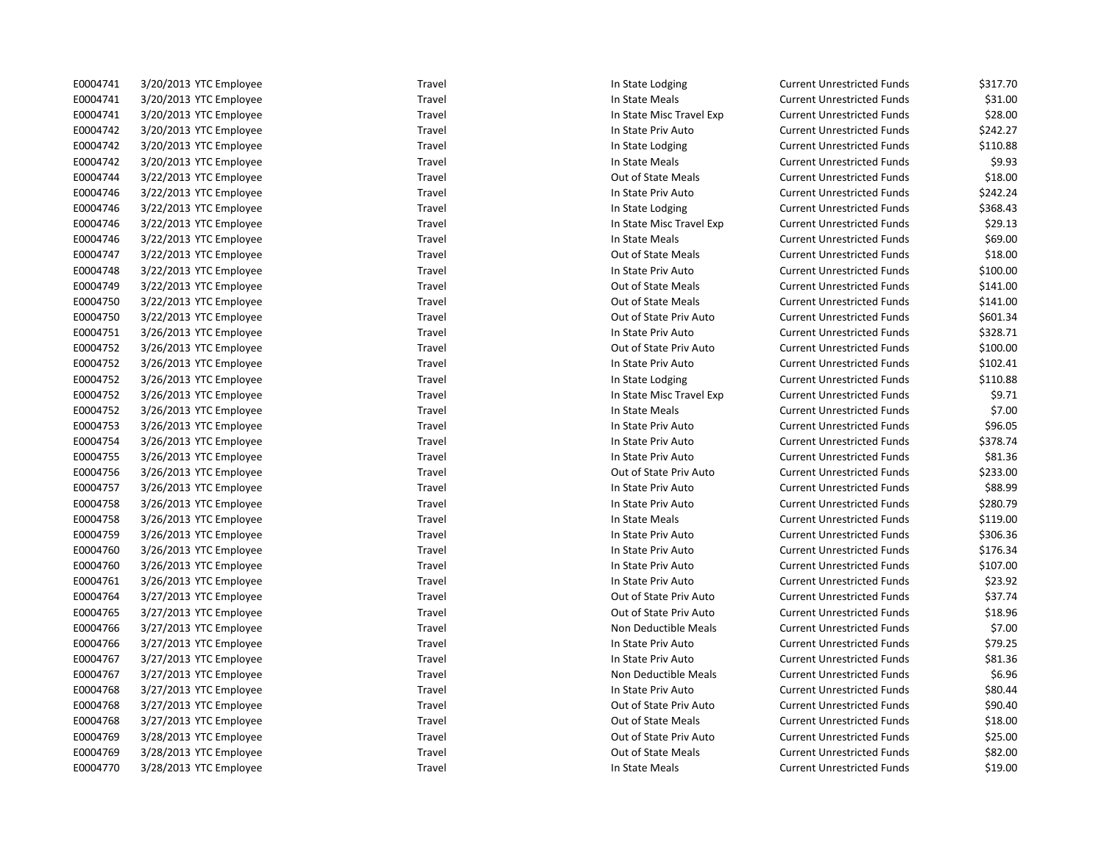| E0004741 | 3/20/2013 YTC Employee | Travel | In State Lodging          | <b>Current Unrestricted Funds</b> | \$317.70 |
|----------|------------------------|--------|---------------------------|-----------------------------------|----------|
| E0004741 | 3/20/2013 YTC Employee | Travel | In State Meals            | <b>Current Unrestricted Funds</b> | \$31.00  |
| E0004741 | 3/20/2013 YTC Employee | Travel | In State Misc Travel Exp  | <b>Current Unrestricted Funds</b> | \$28.00  |
| E0004742 | 3/20/2013 YTC Employee | Travel | In State Priv Auto        | <b>Current Unrestricted Funds</b> | \$242.27 |
| E0004742 | 3/20/2013 YTC Employee | Travel | In State Lodging          | <b>Current Unrestricted Funds</b> | \$110.88 |
| E0004742 | 3/20/2013 YTC Employee | Travel | In State Meals            | <b>Current Unrestricted Funds</b> | \$9.93   |
| E0004744 | 3/22/2013 YTC Employee | Travel | Out of State Meals        | <b>Current Unrestricted Funds</b> | \$18.00  |
| E0004746 | 3/22/2013 YTC Employee | Travel | In State Priv Auto        | <b>Current Unrestricted Funds</b> | \$242.24 |
| E0004746 | 3/22/2013 YTC Employee | Travel | In State Lodging          | <b>Current Unrestricted Funds</b> | \$368.43 |
| E0004746 | 3/22/2013 YTC Employee | Travel | In State Misc Travel Exp  | <b>Current Unrestricted Funds</b> | \$29.13  |
| E0004746 | 3/22/2013 YTC Employee | Travel | In State Meals            | <b>Current Unrestricted Funds</b> | \$69.00  |
| E0004747 | 3/22/2013 YTC Employee | Travel | Out of State Meals        | <b>Current Unrestricted Funds</b> | \$18.00  |
| E0004748 | 3/22/2013 YTC Employee | Travel | In State Priv Auto        | <b>Current Unrestricted Funds</b> | \$100.00 |
| E0004749 | 3/22/2013 YTC Employee | Travel | Out of State Meals        | <b>Current Unrestricted Funds</b> | \$141.00 |
| E0004750 | 3/22/2013 YTC Employee | Travel | <b>Out of State Meals</b> | <b>Current Unrestricted Funds</b> | \$141.00 |
| E0004750 | 3/22/2013 YTC Employee | Travel | Out of State Priv Auto    | <b>Current Unrestricted Funds</b> | \$601.34 |
| E0004751 | 3/26/2013 YTC Employee | Travel | In State Priv Auto        | <b>Current Unrestricted Funds</b> | \$328.71 |
| E0004752 | 3/26/2013 YTC Employee | Travel | Out of State Priv Auto    | <b>Current Unrestricted Funds</b> | \$100.00 |
| E0004752 | 3/26/2013 YTC Employee | Travel | In State Priv Auto        | <b>Current Unrestricted Funds</b> | \$102.41 |
| E0004752 | 3/26/2013 YTC Employee | Travel | In State Lodging          | <b>Current Unrestricted Funds</b> | \$110.88 |
| E0004752 | 3/26/2013 YTC Employee | Travel | In State Misc Travel Exp  | <b>Current Unrestricted Funds</b> | \$9.71   |
| E0004752 | 3/26/2013 YTC Employee | Travel | In State Meals            | <b>Current Unrestricted Funds</b> | \$7.00   |
| E0004753 | 3/26/2013 YTC Employee | Travel | In State Priv Auto        | <b>Current Unrestricted Funds</b> | \$96.05  |
| E0004754 | 3/26/2013 YTC Employee | Travel | In State Priv Auto        | <b>Current Unrestricted Funds</b> | \$378.74 |
| E0004755 | 3/26/2013 YTC Employee | Travel | In State Priv Auto        | <b>Current Unrestricted Funds</b> | \$81.36  |
| E0004756 | 3/26/2013 YTC Employee | Travel | Out of State Priv Auto    | <b>Current Unrestricted Funds</b> | \$233.00 |
| E0004757 | 3/26/2013 YTC Employee | Travel | In State Priv Auto        | <b>Current Unrestricted Funds</b> | \$88.99  |
| E0004758 | 3/26/2013 YTC Employee | Travel | In State Priv Auto        | <b>Current Unrestricted Funds</b> | \$280.79 |
| E0004758 | 3/26/2013 YTC Employee | Travel | In State Meals            | <b>Current Unrestricted Funds</b> | \$119.00 |
| E0004759 | 3/26/2013 YTC Employee | Travel | In State Priv Auto        | <b>Current Unrestricted Funds</b> | \$306.36 |
| E0004760 | 3/26/2013 YTC Employee | Travel | In State Priv Auto        | <b>Current Unrestricted Funds</b> | \$176.34 |
| E0004760 | 3/26/2013 YTC Employee | Travel | In State Priv Auto        | <b>Current Unrestricted Funds</b> | \$107.00 |
| E0004761 | 3/26/2013 YTC Employee | Travel | In State Priv Auto        | <b>Current Unrestricted Funds</b> | \$23.92  |
| E0004764 | 3/27/2013 YTC Employee | Travel | Out of State Priv Auto    | <b>Current Unrestricted Funds</b> | \$37.74  |
| E0004765 | 3/27/2013 YTC Employee | Travel | Out of State Priv Auto    | <b>Current Unrestricted Funds</b> | \$18.96  |
| E0004766 | 3/27/2013 YTC Employee | Travel | Non Deductible Meals      | <b>Current Unrestricted Funds</b> | \$7.00   |
| E0004766 | 3/27/2013 YTC Employee | Travel | In State Priv Auto        | <b>Current Unrestricted Funds</b> | \$79.25  |
| E0004767 | 3/27/2013 YTC Employee | Travel | In State Priv Auto        | <b>Current Unrestricted Funds</b> | \$81.36  |
| E0004767 | 3/27/2013 YTC Employee | Travel | Non Deductible Meals      | <b>Current Unrestricted Funds</b> | \$6.96   |
| E0004768 | 3/27/2013 YTC Employee | Travel | In State Priv Auto        | <b>Current Unrestricted Funds</b> | \$80.44  |
| E0004768 | 3/27/2013 YTC Employee | Travel | Out of State Priv Auto    | <b>Current Unrestricted Funds</b> | \$90.40  |
| E0004768 | 3/27/2013 YTC Employee | Travel | Out of State Meals        | <b>Current Unrestricted Funds</b> | \$18.00  |
| E0004769 | 3/28/2013 YTC Employee | Travel | Out of State Priv Auto    | <b>Current Unrestricted Funds</b> | \$25.00  |
| E0004769 | 3/28/2013 YTC Employee | Travel | Out of State Meals        | <b>Current Unrestricted Funds</b> | \$82.00  |
| E0004770 | 3/28/2013 YTC Employee | Travel | In State Meals            | <b>Current Unrestricted Funds</b> | \$19.00  |
|          |                        |        |                           |                                   |          |